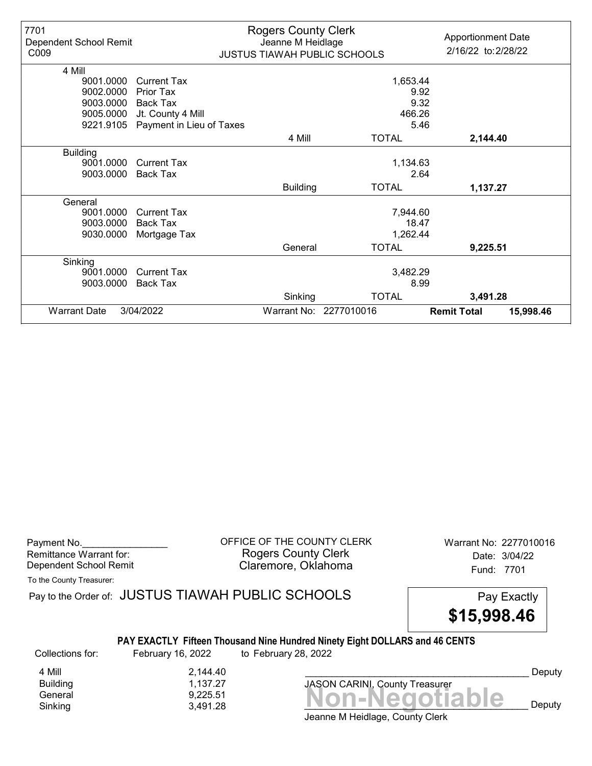| 7701<br>Dependent School Remit<br>C009 |                          | <b>Rogers County Clerk</b><br>Jeanne M Heidlage | <b>JUSTUS TIAWAH PUBLIC SCHOOLS</b> | <b>Apportionment Date</b><br>2/16/22 to: 2/28/22 |
|----------------------------------------|--------------------------|-------------------------------------------------|-------------------------------------|--------------------------------------------------|
| 4 Mill                                 |                          |                                                 |                                     |                                                  |
| 9001.0000                              | <b>Current Tax</b>       |                                                 | 1,653.44                            |                                                  |
| 9002.0000                              | Prior Tax                |                                                 | 9.92                                |                                                  |
| 9003.0000                              | Back Tax                 |                                                 | 9.32                                |                                                  |
| 9005.0000                              | Jt. County 4 Mill        |                                                 | 466.26                              |                                                  |
| 9221.9105                              | Payment in Lieu of Taxes |                                                 | 5.46                                |                                                  |
|                                        |                          | 4 Mill                                          | <b>TOTAL</b>                        | 2,144.40                                         |
| <b>Building</b>                        |                          |                                                 |                                     |                                                  |
| 9001.0000                              | <b>Current Tax</b>       |                                                 | 1,134.63                            |                                                  |
| 9003.0000                              | <b>Back Tax</b>          |                                                 | 2.64                                |                                                  |
|                                        |                          | <b>Building</b>                                 | <b>TOTAL</b>                        | 1,137.27                                         |
| General                                |                          |                                                 |                                     |                                                  |
| 9001.0000                              | <b>Current Tax</b>       |                                                 | 7,944.60                            |                                                  |
| 9003.0000                              | <b>Back Tax</b>          |                                                 | 18.47                               |                                                  |
| 9030.0000                              | Mortgage Tax             |                                                 | 1,262.44                            |                                                  |
|                                        |                          | General                                         | <b>TOTAL</b>                        | 9,225.51                                         |
| Sinking                                |                          |                                                 |                                     |                                                  |
| 9001.0000                              | <b>Current Tax</b>       |                                                 | 3,482.29                            |                                                  |
| 9003.0000                              | <b>Back Tax</b>          |                                                 | 8.99                                |                                                  |
|                                        |                          | Sinking                                         | <b>TOTAL</b>                        | 3,491.28                                         |
| <b>Warrant Date</b>                    | 3/04/2022                |                                                 | Warrant No: 2277010016              | <b>Remit Total</b><br>15,998.46                  |

Payment No. 2277010016 COUNTY CLERK Warrant No: 2277010016 Rogers County Clerk Date: 3/04/22 Dependent School Remit **Claremore, Oklahoma** Fund: 7701

To the County Treasurer:

Pay to the Order of: JUSTUS TIAWAH PUBLIC SCHOOLS Pay Exactly PAY EXACTLY Fifteen Thousand Nine Hundred Ninety Eight DOLLARS and 46 CENTS \$15,998.46 Collections for: February 16, 2022 to February 28, 2022

4 Mill 2,144.40<br>Building 2,144.40 Building 1,137.27

 $General  
Shiking 9,225.51 3,491.28 3,491.28$ Sinking  $3,491.28$   $3,491.28$   $1111100$ JASON CARINI, County Treasurer

Deputy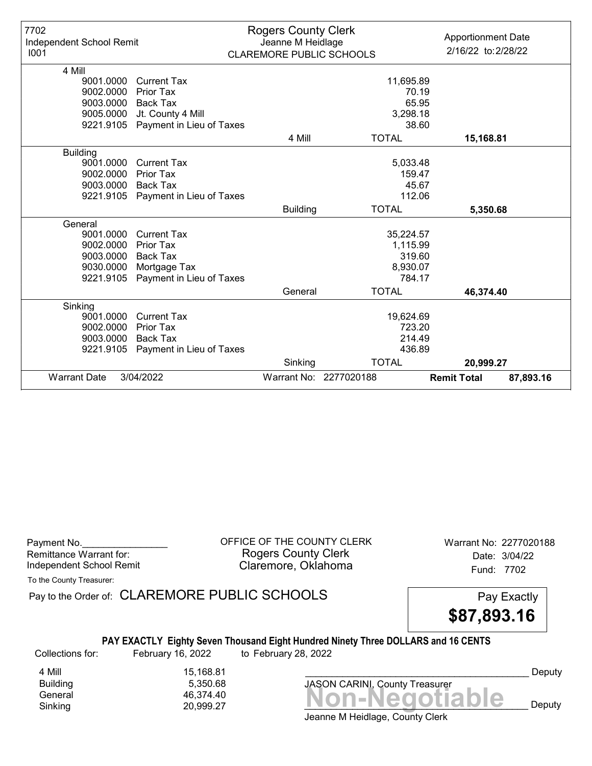| 7702<br>Independent School Remit<br>1001 |                          | <b>Rogers County Clerk</b><br>Jeanne M Heidlage<br><b>CLAREMORE PUBLIC SCHOOLS</b> |                        | <b>Apportionment Date</b><br>2/16/22 to: 2/28/22 |
|------------------------------------------|--------------------------|------------------------------------------------------------------------------------|------------------------|--------------------------------------------------|
|                                          |                          |                                                                                    |                        |                                                  |
| 4 Mill                                   |                          |                                                                                    |                        |                                                  |
| 9001.0000                                | <b>Current Tax</b>       |                                                                                    | 11,695.89              |                                                  |
| 9002.0000                                | Prior Tax                |                                                                                    | 70.19                  |                                                  |
| 9003.0000                                | Back Tax                 |                                                                                    | 65.95                  |                                                  |
| 9005.0000                                | Jt. County 4 Mill        |                                                                                    | 3,298.18               |                                                  |
| 9221.9105                                | Payment in Lieu of Taxes |                                                                                    | 38.60                  |                                                  |
|                                          |                          | 4 Mill                                                                             | <b>TOTAL</b>           | 15,168.81                                        |
| <b>Building</b>                          |                          |                                                                                    |                        |                                                  |
| 9001.0000                                | <b>Current Tax</b>       |                                                                                    | 5,033.48               |                                                  |
| 9002.0000                                | <b>Prior Tax</b>         |                                                                                    | 159.47                 |                                                  |
| 9003.0000                                | <b>Back Tax</b>          |                                                                                    | 45.67                  |                                                  |
| 9221.9105                                | Payment in Lieu of Taxes |                                                                                    | 112.06                 |                                                  |
|                                          |                          | <b>Building</b>                                                                    | <b>TOTAL</b>           | 5,350.68                                         |
| General                                  |                          |                                                                                    |                        |                                                  |
| 9001.0000                                | <b>Current Tax</b>       |                                                                                    | 35,224.57              |                                                  |
| 9002.0000                                | Prior Tax                |                                                                                    | 1,115.99               |                                                  |
| 9003.0000                                | <b>Back Tax</b>          |                                                                                    | 319.60                 |                                                  |
| 9030.0000                                | Mortgage Tax             |                                                                                    | 8,930.07               |                                                  |
| 9221.9105                                | Payment in Lieu of Taxes |                                                                                    | 784.17                 |                                                  |
|                                          |                          | General                                                                            | <b>TOTAL</b>           | 46,374.40                                        |
| Sinking                                  |                          |                                                                                    |                        |                                                  |
| 9001.0000                                | <b>Current Tax</b>       |                                                                                    | 19,624.69              |                                                  |
| 9002.0000                                | <b>Prior Tax</b>         |                                                                                    | 723.20                 |                                                  |
| 9003.0000                                | Back Tax                 |                                                                                    | 214.49                 |                                                  |
| 9221.9105                                | Payment in Lieu of Taxes |                                                                                    | 436.89                 |                                                  |
|                                          |                          | Sinking                                                                            | <b>TOTAL</b>           | 20,999.27                                        |
| <b>Warrant Date</b>                      | 3/04/2022                |                                                                                    | Warrant No: 2277020188 | <b>Remit Total</b><br>87,893.16                  |

Payment No. 2277020188 CONDUCT OF THE COUNTY CLERK Warrant No: 2277020188 Rogers County Clerk Date: 3/04/22 Independent School Remit **Claremore, Oklahoma** Fund: 7702

To the County Treasurer:

Pay to the Order of: CLAREMORE PUBLIC SCHOOLS Pay Exactly

\$87,893.16

## PAY EXACTLY Eighty Seven Thousand Eight Hundred Ninety Three DOLLARS and 16 CENTS

Collections for: February 16, 2022 to February 28, 2022

4 Mill<br>Building 15,168.81<br>5,350.68

Building 5,350.68

Banding<br>General 46,374.40<br>Sinking 20,999.27 **Non-Negotiable** Sinking 20,999.27  $\blacksquare$  20,999.27  $\blacksquare$ JASON CARINI, County Treasurer

Deputy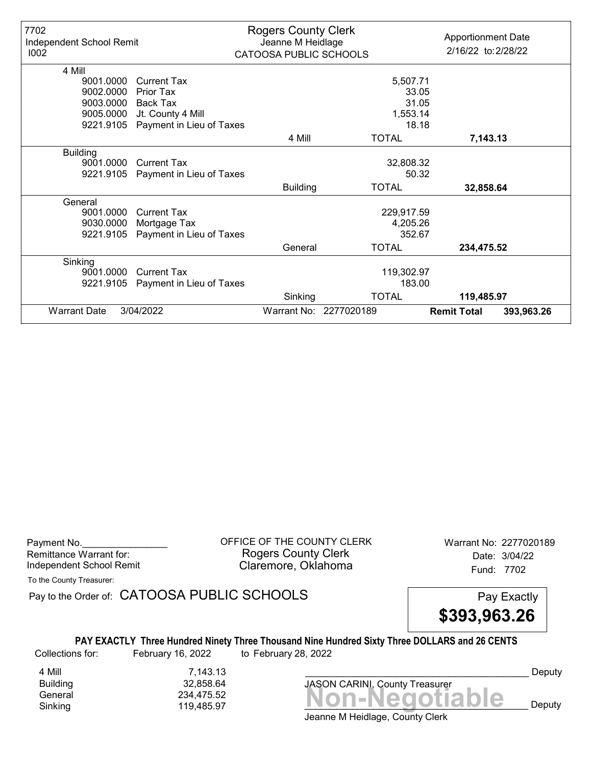| 7702<br>Independent School Remit<br>1002 |                          | <b>Rogers County Clerk</b><br>Jeanne M Heidlage<br>CATOOSA PUBLIC SCHOOLS |                        | <b>Apportionment Date</b><br>2/16/22 to: 2/28/22 |            |
|------------------------------------------|--------------------------|---------------------------------------------------------------------------|------------------------|--------------------------------------------------|------------|
| 4 Mill                                   |                          |                                                                           |                        |                                                  |            |
| 9001.0000                                | <b>Current Tax</b>       |                                                                           | 5,507.71               |                                                  |            |
| 9002.0000                                | Prior Tax                |                                                                           | 33.05                  |                                                  |            |
| 9003.0000                                | Back Tax                 |                                                                           | 31.05                  |                                                  |            |
| 9005.0000                                | Jt. County 4 Mill        |                                                                           | 1,553.14               |                                                  |            |
| 9221.9105                                | Payment in Lieu of Taxes |                                                                           | 18.18                  |                                                  |            |
|                                          |                          | 4 Mill                                                                    | <b>TOTAL</b>           | 7,143.13                                         |            |
| <b>Building</b>                          |                          |                                                                           |                        |                                                  |            |
| 9001.0000                                | <b>Current Tax</b>       |                                                                           | 32,808.32              |                                                  |            |
| 9221.9105                                | Payment in Lieu of Taxes |                                                                           | 50.32                  |                                                  |            |
|                                          |                          | <b>Building</b>                                                           | <b>TOTAL</b>           | 32,858.64                                        |            |
| General                                  |                          |                                                                           |                        |                                                  |            |
| 9001.0000                                | <b>Current Tax</b>       |                                                                           | 229,917.59             |                                                  |            |
| 9030.0000                                | Mortgage Tax             |                                                                           | 4,205.26               |                                                  |            |
| 9221.9105                                | Payment in Lieu of Taxes |                                                                           | 352.67                 |                                                  |            |
|                                          |                          | General                                                                   | <b>TOTAL</b>           | 234,475.52                                       |            |
| Sinking                                  |                          |                                                                           |                        |                                                  |            |
| 9001.0000                                | <b>Current Tax</b>       |                                                                           | 119,302.97             |                                                  |            |
| 9221.9105                                | Payment in Lieu of Taxes |                                                                           | 183.00                 |                                                  |            |
|                                          |                          | Sinking                                                                   | <b>TOTAL</b>           | 119,485.97                                       |            |
| <b>Warrant Date</b>                      | 3/04/2022                |                                                                           | Warrant No: 2277020189 | <b>Remit Total</b>                               | 393,963.26 |

Payment No. 2277020189 COFFICE OF THE COUNTY CLERK Warrant No: 2277020189 Rogers County Clerk Date: 3/04/22 Independent School Remit **Claremore, Oklahoma** Fund: 7702

To the County Treasurer:

Pay to the Order of: CATOOSA PUBLIC SCHOOLS Pay Exactly

\$393,963.26

#### PAY EXACTLY Three Hundred Ninety Three Thousand Nine Hundred Sixty Three DOLLARS and 26 CENTS Collections for: February 16, 2022 to February 28, 2022

4 Mill 7,143.13<br>Building 32,858.64 Building 32,858.64

Banding<br>General 234,475.52<br>Sinking 119,485.97 **Non-Negotiable** Sinking 119,485.97  $\blacksquare$ JASON CARINI, County Treasurer

Deputy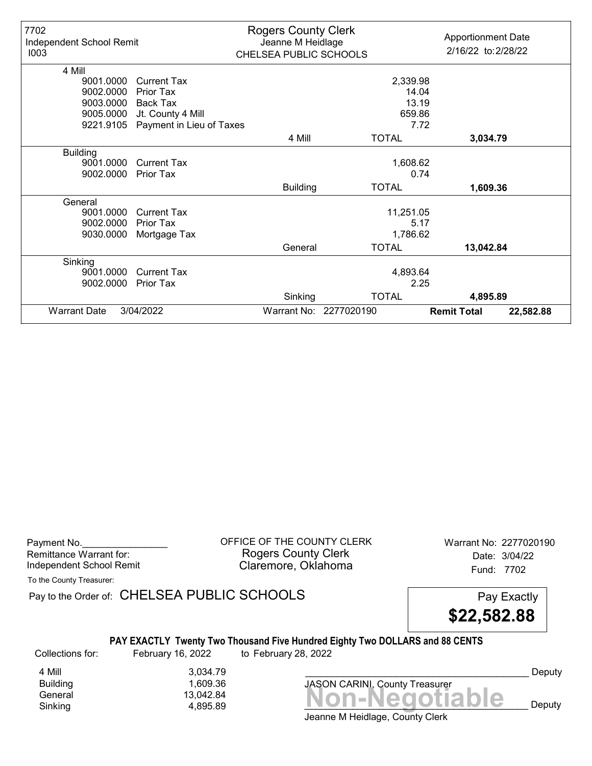| 7702<br>Independent School Remit<br>1003 |                          | <b>Rogers County Clerk</b><br>Jeanne M Heidlage<br>CHELSEA PUBLIC SCHOOLS |                        | <b>Apportionment Date</b><br>2/16/22 to: 2/28/22 |           |
|------------------------------------------|--------------------------|---------------------------------------------------------------------------|------------------------|--------------------------------------------------|-----------|
| 4 Mill                                   |                          |                                                                           |                        |                                                  |           |
| 9001.0000                                | <b>Current Tax</b>       |                                                                           | 2,339.98               |                                                  |           |
| 9002.0000                                | Prior Tax                |                                                                           | 14.04                  |                                                  |           |
| 9003.0000                                | <b>Back Tax</b>          |                                                                           | 13.19                  |                                                  |           |
| 9005.0000                                | Jt. County 4 Mill        |                                                                           | 659.86                 |                                                  |           |
| 9221.9105                                | Payment in Lieu of Taxes |                                                                           | 7.72                   |                                                  |           |
|                                          |                          | 4 Mill                                                                    | <b>TOTAL</b>           | 3,034.79                                         |           |
| <b>Building</b>                          |                          |                                                                           |                        |                                                  |           |
| 9001.0000                                | <b>Current Tax</b>       |                                                                           | 1,608.62               |                                                  |           |
| 9002.0000                                | <b>Prior Tax</b>         |                                                                           | 0.74                   |                                                  |           |
|                                          |                          | <b>Building</b>                                                           | <b>TOTAL</b>           | 1,609.36                                         |           |
| General                                  |                          |                                                                           |                        |                                                  |           |
| 9001.0000                                | <b>Current Tax</b>       |                                                                           | 11,251.05              |                                                  |           |
| 9002.0000                                | Prior Tax                |                                                                           | 5.17                   |                                                  |           |
| 9030.0000                                | Mortgage Tax             |                                                                           | 1,786.62               |                                                  |           |
|                                          |                          | General                                                                   | <b>TOTAL</b>           | 13,042.84                                        |           |
| Sinking                                  |                          |                                                                           |                        |                                                  |           |
| 9001.0000                                | <b>Current Tax</b>       |                                                                           | 4,893.64               |                                                  |           |
| 9002.0000                                | <b>Prior Tax</b>         |                                                                           | 2.25                   |                                                  |           |
|                                          |                          | Sinking                                                                   | <b>TOTAL</b>           | 4,895.89                                         |           |
| <b>Warrant Date</b>                      | 3/04/2022                |                                                                           | Warrant No: 2277020190 | <b>Remit Total</b>                               | 22,582.88 |

Payment No. 2277020190<br>
OFFICE OF THE COUNTY CLERK Warrant No: 2277020190 Rogers County Clerk Date: 3/04/22 Independent School Remit **Claremore, Oklahoma** Fund: 7702

To the County Treasurer:

Pay to the Order of: CHELSEA PUBLIC SCHOOLS Pay Exactly

\$22,582.88

#### PAY EXACTLY Twenty Two Thousand Five Hundred Eighty Two DOLLARS and 88 CENTS

Collections for: February 16, 2022 to February 28, 2022

4 Mill 3,034.79<br>Building 3,034.79 1,609.36

General 13,042.84<br>General 13,042.84 **Non-Negotiable** Sinking and  $4,895.89$  and  $4,895.89$  and  $4,895.89$  and  $4,895.89$  and  $4,895.89$  and  $4,895.89$  and  $4,895.89$  and  $4,895.89$  and  $4,895.89$  and  $4,895.89$  and  $4,895.89$  and  $4,895.89$  and  $4,895.89$  and  $4,895.89$  and JASON CARINI, County Treasurer

Deputy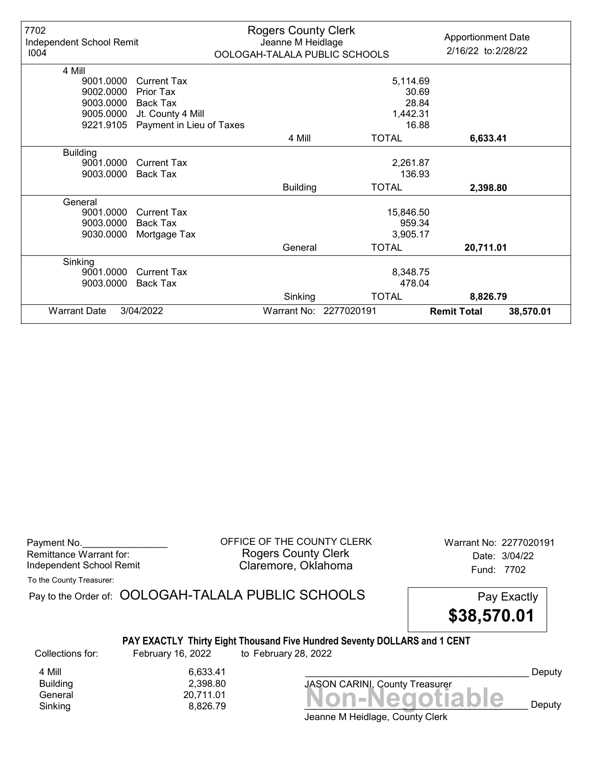| 7702<br>Independent School Remit<br>1004 |                          | <b>Rogers County Clerk</b><br>Jeanne M Heidlage | OOLOGAH-TALALA PUBLIC SCHOOLS | <b>Apportionment Date</b><br>2/16/22 to: 2/28/22 |           |
|------------------------------------------|--------------------------|-------------------------------------------------|-------------------------------|--------------------------------------------------|-----------|
| 4 Mill                                   |                          |                                                 |                               |                                                  |           |
| 9001.0000                                | Current Tax              |                                                 | 5,114.69                      |                                                  |           |
| 9002.0000                                | Prior Tax                |                                                 | 30.69                         |                                                  |           |
| 9003.0000                                | <b>Back Tax</b>          |                                                 | 28.84                         |                                                  |           |
| 9005.0000                                | Jt. County 4 Mill        |                                                 | 1,442.31                      |                                                  |           |
| 9221.9105                                | Payment in Lieu of Taxes |                                                 | 16.88                         |                                                  |           |
|                                          |                          | 4 Mill                                          | <b>TOTAL</b>                  | 6,633.41                                         |           |
| <b>Building</b>                          |                          |                                                 |                               |                                                  |           |
| 9001.0000                                | <b>Current Tax</b>       |                                                 | 2,261.87                      |                                                  |           |
| 9003.0000                                | <b>Back Tax</b>          |                                                 | 136.93                        |                                                  |           |
|                                          |                          | <b>Building</b>                                 | <b>TOTAL</b>                  | 2,398.80                                         |           |
| General                                  |                          |                                                 |                               |                                                  |           |
| 9001.0000                                | <b>Current Tax</b>       |                                                 | 15,846.50                     |                                                  |           |
| 9003.0000                                | Back Tax                 |                                                 | 959.34                        |                                                  |           |
| 9030.0000                                | Mortgage Tax             |                                                 | 3,905.17                      |                                                  |           |
|                                          |                          | General                                         | <b>TOTAL</b>                  | 20,711.01                                        |           |
| Sinking                                  |                          |                                                 |                               |                                                  |           |
| 9001.0000                                | <b>Current Tax</b>       |                                                 | 8,348.75                      |                                                  |           |
| 9003.0000                                | <b>Back Tax</b>          |                                                 | 478.04                        |                                                  |           |
|                                          |                          | Sinking                                         | <b>TOTAL</b>                  | 8,826.79                                         |           |
| <b>Warrant Date</b>                      | 3/04/2022                |                                                 | Warrant No: 2277020191        | <b>Remit Total</b>                               | 38,570.01 |

| Payment No.              |  |
|--------------------------|--|
| Remittance Warrant for:  |  |
| Independent School Remit |  |

OFFICE OF THE COUNTY CLERK Warrant No: 2277020191 Rogers County Clerk Date: 3/04/22 Claremore, Oklahoma<br>
Fund: 7702

| To the County Treasurer: |  |
|--------------------------|--|
|--------------------------|--|

Banding<br>General 20,711.01<br>Sinking 8,826.79 **Non-Negotiable** Pay to the Order of: OOLOGAH-TALALA PUBLIC SCHOOLS Pay Exactly PAY EXACTLY Thirty Eight Thousand Five Hundred Seventy DOLLARS and 1 CENT \$38,570.01 Collections for: February 16, 2022 to February 28, 2022 JASON CARINI, County Treasurer 4 Mill 6,633.41<br>Building 2,398.80 Building 2,398.80 Deputy

Jeanne M Heidlage, County Clerk Sinking and  $\begin{array}{ccc} 8,826.79 & & & \end{array}$  **NUIFNCYULIANIC** Deputy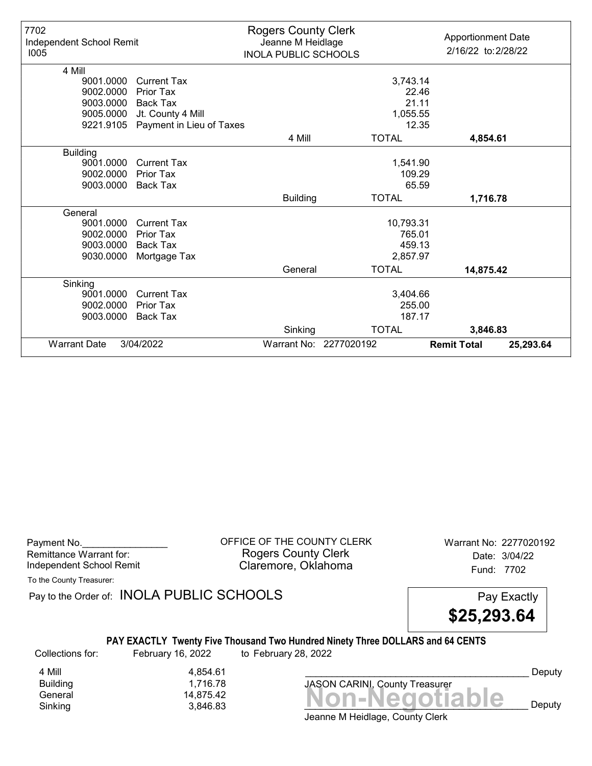| 7702<br>Independent School Remit<br>1005 |                          | <b>Rogers County Clerk</b><br>Jeanne M Heidlage<br><b>INOLA PUBLIC SCHOOLS</b> |                        | <b>Apportionment Date</b><br>2/16/22 to: 2/28/22 |           |
|------------------------------------------|--------------------------|--------------------------------------------------------------------------------|------------------------|--------------------------------------------------|-----------|
| 4 Mill                                   |                          |                                                                                |                        |                                                  |           |
| 9001.0000                                | <b>Current Tax</b>       |                                                                                | 3,743.14               |                                                  |           |
| 9002.0000                                | Prior Tax                |                                                                                | 22.46                  |                                                  |           |
| 9003.0000                                | Back Tax                 |                                                                                | 21.11                  |                                                  |           |
| 9005.0000                                | Jt. County 4 Mill        |                                                                                | 1,055.55               |                                                  |           |
| 9221.9105                                | Payment in Lieu of Taxes |                                                                                | 12.35                  |                                                  |           |
|                                          |                          | 4 Mill                                                                         | <b>TOTAL</b>           | 4,854.61                                         |           |
| <b>Building</b>                          |                          |                                                                                |                        |                                                  |           |
| 9001.0000                                | Current Tax              |                                                                                | 1,541.90               |                                                  |           |
| 9002.0000                                | <b>Prior Tax</b>         |                                                                                | 109.29                 |                                                  |           |
| 9003.0000                                | <b>Back Tax</b>          |                                                                                | 65.59                  |                                                  |           |
|                                          |                          | <b>Building</b>                                                                | <b>TOTAL</b>           | 1,716.78                                         |           |
| General                                  |                          |                                                                                |                        |                                                  |           |
| 9001.0000                                | <b>Current Tax</b>       |                                                                                | 10,793.31              |                                                  |           |
| 9002.0000                                | Prior Tax                |                                                                                | 765.01                 |                                                  |           |
| 9003.0000                                | Back Tax                 |                                                                                | 459.13                 |                                                  |           |
| 9030.0000                                | Mortgage Tax             |                                                                                | 2,857.97               |                                                  |           |
|                                          |                          | General                                                                        | <b>TOTAL</b>           | 14,875.42                                        |           |
| Sinking                                  |                          |                                                                                |                        |                                                  |           |
| 9001.0000                                | <b>Current Tax</b>       |                                                                                | 3,404.66               |                                                  |           |
| 9002.0000                                | Prior Tax                |                                                                                | 255.00                 |                                                  |           |
| 9003.0000                                | <b>Back Tax</b>          |                                                                                | 187.17                 |                                                  |           |
|                                          |                          | Sinking                                                                        | <b>TOTAL</b>           | 3,846.83                                         |           |
| <b>Warrant Date</b>                      | 3/04/2022                |                                                                                | Warrant No: 2277020192 | <b>Remit Total</b>                               | 25,293.64 |

| Payment No.              |  |
|--------------------------|--|
| Remittance Warrant for:  |  |
| Independent School Remit |  |

OFFICE OF THE COUNTY CLERK Warrant No: 2277020192 Rogers County Clerk Date: 3/04/22 Claremore, Oklahoma<br>
Fund: 7702

To the County Treasurer:

Pay to the Order of: INOLA PUBLIC SCHOOLS Pay Exactly

\$25,293.64

## PAY EXACTLY Twenty Five Thousand Two Hundred Ninety Three DOLLARS and 64 CENTS

Collections for: February 16, 2022 to February 28, 2022

Banding<br>General 14,875.42<br>Sinking 3,846.83 **Non-Negotiable** 4 Mill 4,854.61<br>Building 1,716.78

1,716.78

Sinking 3,846.83 \_\_\_\_\_\_\_\_\_\_\_\_\_\_\_\_\_\_\_\_\_\_\_\_\_\_\_\_\_\_\_\_\_\_\_\_\_\_\_\_\_\_ Deputy

Deputy

Jeanne M Heidlage, County Clerk

JASON CARINI, County Treasurer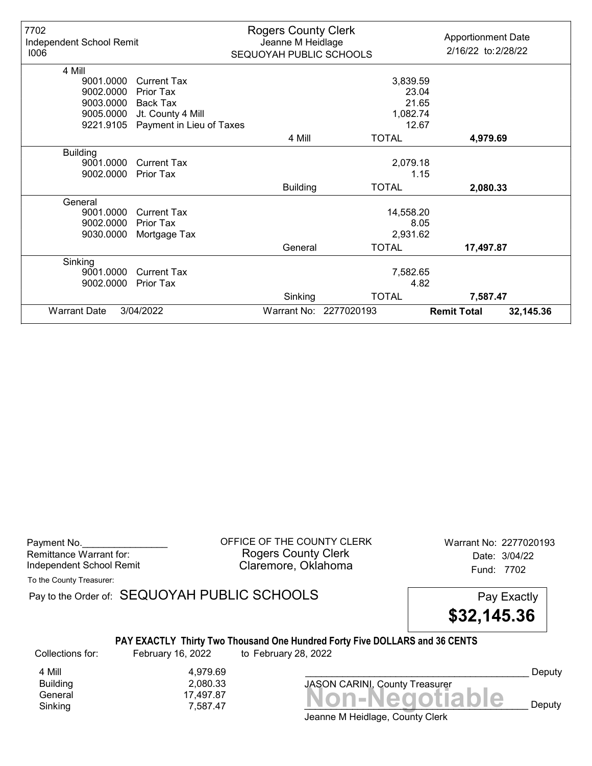| 7702<br>Independent School Remit<br>1006 |                          | <b>Rogers County Clerk</b><br>Jeanne M Heidlage<br>SEQUOYAH PUBLIC SCHOOLS |                        | <b>Apportionment Date</b><br>2/16/22 to: 2/28/22 |           |
|------------------------------------------|--------------------------|----------------------------------------------------------------------------|------------------------|--------------------------------------------------|-----------|
| 4 Mill                                   |                          |                                                                            |                        |                                                  |           |
| 9001.0000                                | <b>Current Tax</b>       |                                                                            | 3,839.59               |                                                  |           |
| 9002.0000                                | Prior Tax                |                                                                            | 23.04                  |                                                  |           |
| 9003.0000                                | <b>Back Tax</b>          |                                                                            | 21.65                  |                                                  |           |
| 9005.0000                                | Jt. County 4 Mill        |                                                                            | 1,082.74               |                                                  |           |
| 9221.9105                                | Payment in Lieu of Taxes |                                                                            | 12.67                  |                                                  |           |
|                                          |                          | 4 Mill                                                                     | <b>TOTAL</b>           | 4,979.69                                         |           |
| <b>Building</b>                          |                          |                                                                            |                        |                                                  |           |
| 9001.0000                                | <b>Current Tax</b>       |                                                                            | 2,079.18               |                                                  |           |
| 9002.0000                                | <b>Prior Tax</b>         |                                                                            |                        | 1.15                                             |           |
|                                          |                          | <b>Building</b>                                                            | <b>TOTAL</b>           | 2,080.33                                         |           |
| General                                  |                          |                                                                            |                        |                                                  |           |
| 9001.0000                                | <b>Current Tax</b>       |                                                                            | 14,558.20              |                                                  |           |
| 9002.0000                                | Prior Tax                |                                                                            |                        | 8.05                                             |           |
| 9030.0000                                | Mortgage Tax             |                                                                            | 2,931.62               |                                                  |           |
|                                          |                          | General                                                                    | <b>TOTAL</b>           | 17,497.87                                        |           |
| Sinking                                  |                          |                                                                            |                        |                                                  |           |
| 9001.0000                                | <b>Current Tax</b>       |                                                                            | 7,582.65               |                                                  |           |
| 9002.0000                                | Prior Tax                |                                                                            |                        | 4.82                                             |           |
|                                          |                          | Sinking                                                                    | <b>TOTAL</b>           | 7,587.47                                         |           |
| <b>Warrant Date</b>                      | 3/04/2022                |                                                                            | Warrant No: 2277020193 | <b>Remit Total</b>                               | 32,145.36 |

Payment No. 2277020193<br>
OFFICE OF THE COUNTY CLERK Warrant No: 2277020193 Rogers County Clerk Date: 3/04/22 Independent School Remit **Claremore, Oklahoma** Fund: 7702

To the County Treasurer:

Pay to the Order of: SEQUOYAH PUBLIC SCHOOLS Pay Exactly

\$32,145.36

#### PAY EXACTLY Thirty Two Thousand One Hundred Forty Five DOLLARS and 36 CENTS

4 Mill 4,979.69<br>Building 2,080.33 Building 2,080.33

Collections for: February 16, 2022 to February 28, 2022

Banding<br>General 17,497.87<br>Sinking 7,587.47 **Non-Negotiable** Sinking  $7,587.47$   $\blacksquare$   $\blacksquare$   $\blacksquare$   $\blacksquare$   $\blacksquare$   $\blacksquare$   $\blacksquare$   $\blacksquare$   $\blacksquare$   $\blacksquare$   $\blacksquare$   $\blacksquare$   $\blacksquare$   $\blacksquare$   $\blacksquare$   $\blacksquare$   $\blacksquare$   $\blacksquare$   $\blacksquare$   $\blacksquare$   $\blacksquare$   $\blacksquare$   $\blacksquare$   $\blacksquare$   $\blacksquare$   $\blacksquare$   $\blacksquare$   $\blacksquare$   $\blacksquare$ JASON CARINI, County Treasurer

Deputy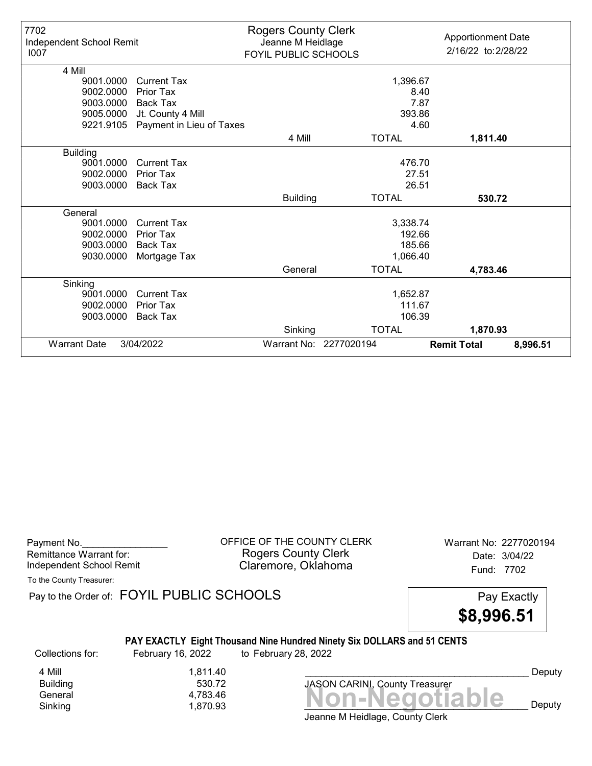| 7702<br>Independent School Remit<br>1007 |                          | <b>Rogers County Clerk</b><br>Jeanne M Heidlage<br>FOYIL PUBLIC SCHOOLS |                        | <b>Apportionment Date</b><br>2/16/22 to: 2/28/22 |          |
|------------------------------------------|--------------------------|-------------------------------------------------------------------------|------------------------|--------------------------------------------------|----------|
| 4 Mill                                   |                          |                                                                         |                        |                                                  |          |
| 9001.0000                                | <b>Current Tax</b>       |                                                                         | 1,396.67               |                                                  |          |
| 9002.0000                                | Prior Tax                |                                                                         | 8.40                   |                                                  |          |
| 9003.0000                                | Back Tax                 |                                                                         | 7.87                   |                                                  |          |
| 9005.0000                                | Jt. County 4 Mill        |                                                                         | 393.86                 |                                                  |          |
| 9221.9105                                | Payment in Lieu of Taxes |                                                                         | 4.60                   |                                                  |          |
|                                          |                          | 4 Mill                                                                  | <b>TOTAL</b>           | 1,811.40                                         |          |
| <b>Building</b>                          |                          |                                                                         |                        |                                                  |          |
| 9001.0000                                | <b>Current Tax</b>       |                                                                         | 476.70                 |                                                  |          |
| 9002.0000                                | Prior Tax                |                                                                         | 27.51                  |                                                  |          |
| 9003.0000                                | <b>Back Tax</b>          |                                                                         | 26.51                  |                                                  |          |
|                                          |                          | <b>Building</b>                                                         | <b>TOTAL</b>           | 530.72                                           |          |
| General                                  |                          |                                                                         |                        |                                                  |          |
| 9001.0000                                | <b>Current Tax</b>       |                                                                         | 3,338.74               |                                                  |          |
| 9002.0000                                | Prior Tax                |                                                                         | 192.66                 |                                                  |          |
| 9003.0000                                | <b>Back Tax</b>          |                                                                         | 185.66                 |                                                  |          |
| 9030.0000                                | Mortgage Tax             |                                                                         | 1,066.40               |                                                  |          |
|                                          |                          | General                                                                 | <b>TOTAL</b>           | 4,783.46                                         |          |
| Sinking                                  |                          |                                                                         |                        |                                                  |          |
| 9001.0000                                | <b>Current Tax</b>       |                                                                         | 1,652.87               |                                                  |          |
| 9002.0000                                | Prior Tax                |                                                                         | 111.67                 |                                                  |          |
| 9003.0000                                | <b>Back Tax</b>          |                                                                         | 106.39                 |                                                  |          |
|                                          |                          | Sinking                                                                 | <b>TOTAL</b>           | 1,870.93                                         |          |
| <b>Warrant Date</b>                      | 3/04/2022                |                                                                         | Warrant No: 2277020194 | <b>Remit Total</b>                               | 8,996.51 |

OFFICE OF THE COUNTY CLERK Warrant No: 2277020194 Rogers County Clerk Date: 3/04/22 Claremore, Oklahoma<br>
Fund: 7702

To the County Treasurer:

Pay to the Order of: FOYIL PUBLIC SCHOOLS Pay Exactly

\$8,996.51

## PAY EXACTLY Eight Thousand Nine Hundred Ninety Six DOLLARS and 51 CENTS

Collections for: February 16, 2022 to February 28, 2022

**Building** 

4 Mill 1,811.40<br>Building 530.72

Banding<br>General 4,783.46<br>Sinking 1,870.93 **Non-Negotiable** Sinking and  $1,870.93$  and  $1,870.93$  and  $1,870.93$  and  $1,870.93$  and  $1,870.93$  and  $1,870.93$  and  $1,870.93$  and  $1,870.93$  and  $1,870.93$  and  $1,870.93$  and  $1,870.93$  and  $1,870.93$  and  $1,870.93$  and  $1,870.93$  and

Deputy

Jeanne M Heidlage, County Clerk

JASON CARINI, County Treasurer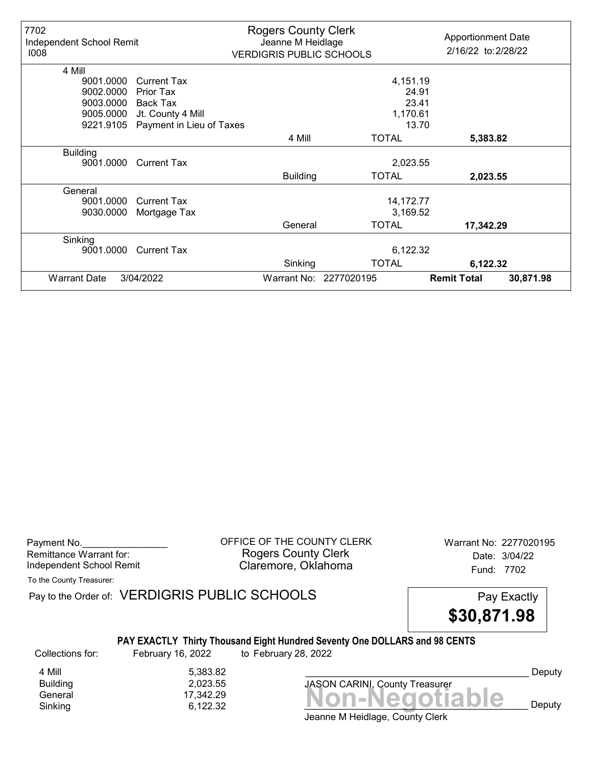| 7702<br>Independent School Remit<br>1008 |                          | <b>Rogers County Clerk</b><br>Jeanne M Heidlage<br><b>VERDIGRIS PUBLIC SCHOOLS</b> |                        | <b>Apportionment Date</b><br>2/16/22 to: 2/28/22 |           |
|------------------------------------------|--------------------------|------------------------------------------------------------------------------------|------------------------|--------------------------------------------------|-----------|
| 4 Mill                                   |                          |                                                                                    |                        |                                                  |           |
| 9001.0000                                | <b>Current Tax</b>       |                                                                                    | 4,151.19               |                                                  |           |
| 9002.0000                                | Prior Tax                |                                                                                    | 24.91                  |                                                  |           |
| 9003.0000                                | Back Tax                 |                                                                                    | 23.41                  |                                                  |           |
| 9005.0000                                | Jt. County 4 Mill        |                                                                                    | 1,170.61               |                                                  |           |
| 9221.9105                                | Payment in Lieu of Taxes |                                                                                    | 13.70                  |                                                  |           |
|                                          |                          | 4 Mill                                                                             | <b>TOTAL</b>           | 5,383.82                                         |           |
| <b>Building</b>                          |                          |                                                                                    |                        |                                                  |           |
| 9001.0000                                | <b>Current Tax</b>       |                                                                                    | 2,023.55               |                                                  |           |
|                                          |                          | <b>Building</b>                                                                    | <b>TOTAL</b>           | 2,023.55                                         |           |
| General                                  |                          |                                                                                    |                        |                                                  |           |
| 9001.0000                                | <b>Current Tax</b>       |                                                                                    | 14,172.77              |                                                  |           |
| 9030.0000                                | Mortgage Tax             |                                                                                    | 3,169.52               |                                                  |           |
|                                          |                          | General                                                                            | <b>TOTAL</b>           | 17,342.29                                        |           |
| Sinking                                  |                          |                                                                                    |                        |                                                  |           |
| 9001.0000                                | <b>Current Tax</b>       |                                                                                    | 6,122.32               |                                                  |           |
|                                          |                          | Sinking                                                                            | <b>TOTAL</b>           | 6,122.32                                         |           |
| <b>Warrant Date</b>                      | 3/04/2022                |                                                                                    | Warrant No: 2277020195 | <b>Remit Total</b>                               | 30,871.98 |

Payment No. 2277020195 Rogers County Clerk Date: 3/04/22 Independent School Remit **Claremore, Oklahoma** Fund: 7702

To the County Treasurer:

Pay to the Order of: VERDIGRIS PUBLIC SCHOOLS Pay Exactly



#### PAY EXACTLY Thirty Thousand Eight Hundred Seventy One DOLLARS and 98 CENTS

Collections for: February 16, 2022 to February 28, 2022

 $Sinking$ <br>Sinking  $(7,342.29$ <br> $6,122.32$   $(22.32)$ 4 Mill<br>Building 6,383.82<br>2,023.55 Building 2,023.55

Jeanne M Heidlage, County Clerk Sinking  $6,122.32$   $\blacksquare$   $\blacksquare$   $\blacksquare$   $\blacksquare$   $\blacksquare$   $\blacksquare$   $\blacksquare$   $\blacksquare$   $\blacksquare$   $\blacksquare$   $\blacksquare$   $\blacksquare$   $\blacksquare$   $\blacksquare$   $\blacksquare$   $\blacksquare$   $\blacksquare$   $\blacksquare$   $\blacksquare$   $\blacksquare$   $\blacksquare$   $\blacksquare$   $\blacksquare$   $\blacksquare$   $\blacksquare$   $\blacksquare$   $\blacksquare$   $\blacksquare$   $\blacksquare$ 

JASON CARINI, County Treasurer

Deputy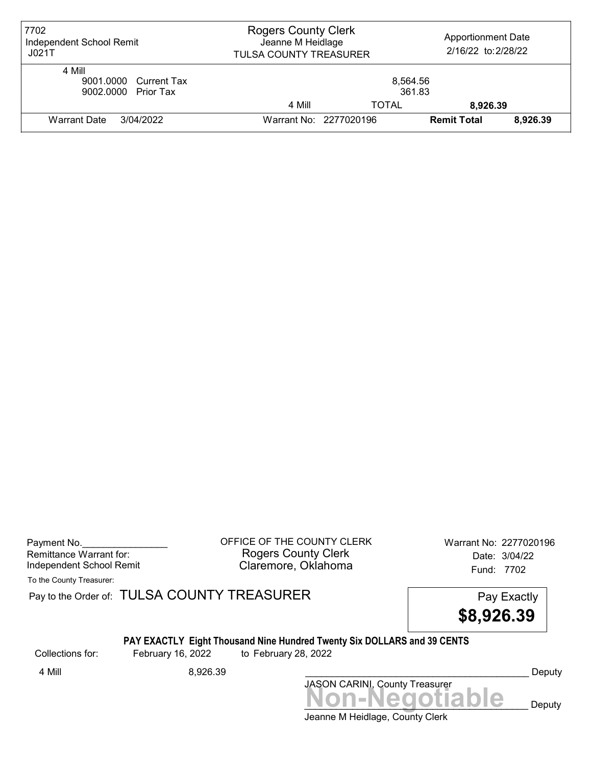| 7702<br>Independent School Remit<br>JO21T              | <b>Rogers County Clerk</b><br>Jeanne M Heidlage<br>TULSA COUNTY TREASURER |                        | <b>Apportionment Date</b><br>2/16/22 to: 2/28/22 |          |
|--------------------------------------------------------|---------------------------------------------------------------------------|------------------------|--------------------------------------------------|----------|
| 4 Mill<br>9001.0000 Current Tax<br>9002.0000 Prior Tax |                                                                           | 8,564.56<br>361.83     |                                                  |          |
|                                                        | 4 Mill                                                                    | <b>TOTAL</b>           | 8.926.39                                         |          |
| Warrant Date<br>3/04/2022                              |                                                                           | Warrant No: 2277020196 | <b>Remit Total</b>                               | 8,926.39 |

Payment No. 2277020196 COUNTY CLERK Warrant No: 2277020196 Rogers County Clerk Date: 3/04/22 Independent School Remit **Claremore, Oklahoma** Fund: 7702

To the County Treasurer:

Pay to the Order of: TULSA COUNTY TREASURER Pay to the Order of: TULSA COUNTY TREASURER

\$8,926.39

# PAY EXACTLY Eight Thousand Nine Hundred Twenty Six DOLLARS and 39 CENTS<br>February 16, 2022 to February 28, 2022

Collections for: February 16, 2022 to February 28, 2022

Jeanne M Heidlage, County Clerk Non-Negotiable Deputy JASON CARINI, County Treasurer 4 Mill 8,926.39 \_\_\_\_\_\_\_\_\_\_\_\_\_\_\_\_\_\_\_\_\_\_\_\_\_\_\_\_\_\_\_\_\_\_\_\_\_\_\_\_\_\_ Deputy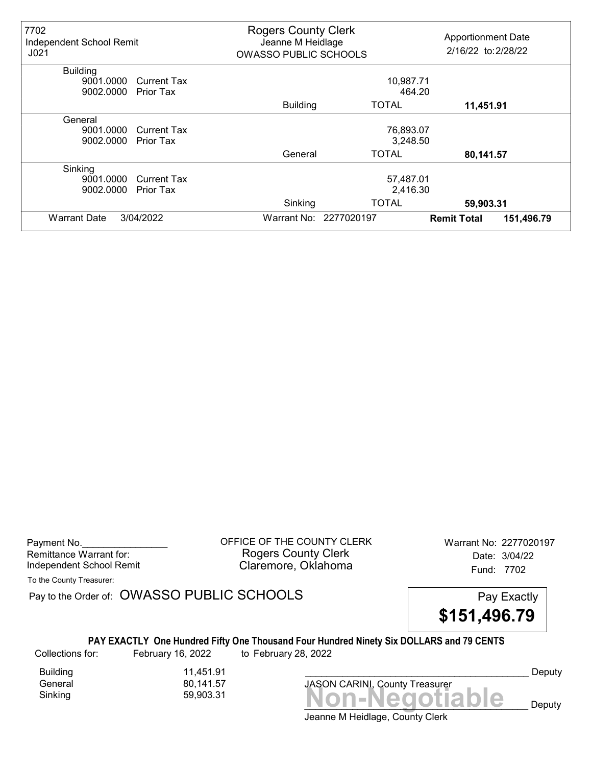| 7702<br>Independent School Remit<br>J <sub>021</sub> |                    | <b>Rogers County Clerk</b><br>Jeanne M Heidlage<br><b>OWASSO PUBLIC SCHOOLS</b> |                        | <b>Apportionment Date</b><br>2/16/22 to: 2/28/22 |            |
|------------------------------------------------------|--------------------|---------------------------------------------------------------------------------|------------------------|--------------------------------------------------|------------|
| <b>Building</b>                                      |                    |                                                                                 |                        |                                                  |            |
| 9001.0000                                            | <b>Current Tax</b> |                                                                                 | 10,987.71              |                                                  |            |
| 9002.0000                                            | Prior Tax          |                                                                                 | 464.20                 |                                                  |            |
|                                                      |                    | <b>Building</b>                                                                 | <b>TOTAL</b>           | 11,451.91                                        |            |
| General                                              |                    |                                                                                 |                        |                                                  |            |
| 9001.0000                                            | <b>Current Tax</b> |                                                                                 | 76,893.07              |                                                  |            |
| 9002.0000                                            | <b>Prior Tax</b>   |                                                                                 | 3,248.50               |                                                  |            |
|                                                      |                    | General                                                                         | <b>TOTAL</b>           | 80,141.57                                        |            |
| Sinking                                              |                    |                                                                                 |                        |                                                  |            |
| 9001.0000                                            | <b>Current Tax</b> |                                                                                 | 57,487.01              |                                                  |            |
| 9002.0000                                            | <b>Prior Tax</b>   | 2,416.30                                                                        |                        |                                                  |            |
|                                                      |                    | Sinking                                                                         | <b>TOTAL</b>           | 59,903.31                                        |            |
| <b>Warrant Date</b>                                  | 3/04/2022          |                                                                                 | Warrant No: 2277020197 | <b>Remit Total</b>                               | 151,496.79 |

Payment No. 2277020197<br>
OFFICE OF THE COUNTY CLERK Warrant No: 2277020197 Rogers County Clerk Date: 3/04/22 Independent School Remit **Claremore, Oklahoma** Fund: 7702

To the County Treasurer:

Pay to the Order of: OWASSO PUBLIC SCHOOLS Pay Exactly

\$151,496.79

#### PAY EXACTLY One Hundred Fifty One Thousand Four Hundred Ninety Six DOLLARS and 79 CENTS

Collections for: February 16, 2022 to February 28, 2022

Building 11,451.91

80,141.57

Sinking 59,903.31 **Non-Negotiable** JASON CARINI, County Treasurer

Deputy

 $\mathbf{e}$  Deputy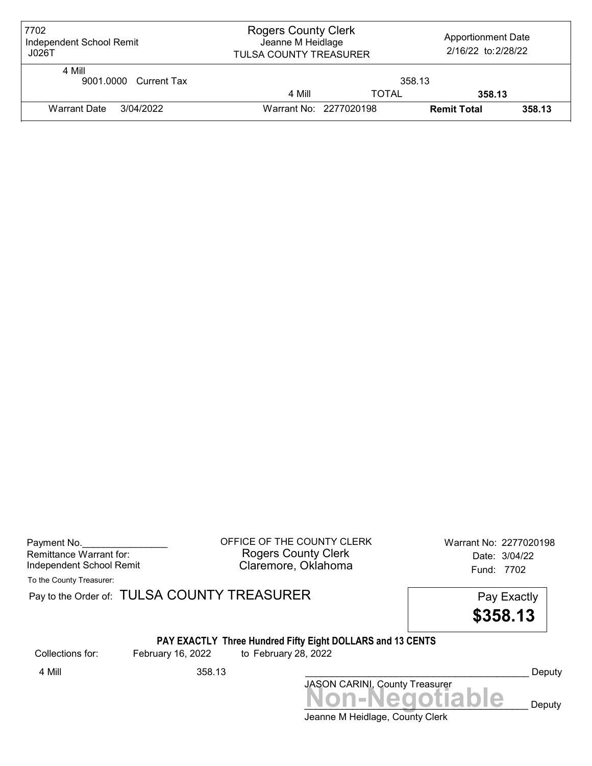| 7702<br>Independent School Remit<br>J026T | <b>Rogers County Clerk</b><br>Jeanne M Heidlage<br><b>TULSA COUNTY TREASURER</b> |              | <b>Apportionment Date</b><br>2/16/22 to: 2/28/22 |        |
|-------------------------------------------|----------------------------------------------------------------------------------|--------------|--------------------------------------------------|--------|
| 4 Mill<br>9001.0000 Current Tax           |                                                                                  | 358.13       |                                                  |        |
|                                           | 4 Mill                                                                           | <b>TOTAL</b> | 358.13                                           |        |
| Warrant Date<br>3/04/2022                 | Warrant No: 2277020198                                                           |              | <b>Remit Total</b>                               | 358.13 |

| Payment No.              |  |
|--------------------------|--|
| Remittance Warrant for:  |  |
| Independent School Remit |  |

OFFICE OF THE COUNTY CLERK Warrant No: 2277020198 Rogers County Clerk Date: 3/04/22 Claremore, Oklahoma<br>
Fund: 7702

To the County Treasurer:

Pay to the Order of: TULSA COUNTY TREASURER Pay to the Order of: TULSA COUNTY TREASURER

\$358.13

#### PAY EXACTLY Three Hundred Fifty Eight DOLLARS and 13 CENTS

Collections for: February 16, 2022 to February 28, 2022

JASON CARINI, County Treasurer<br>
MON-Negotiable Deputy 4 Mill 358.13 \_\_\_\_\_\_\_\_\_\_\_\_\_\_\_\_\_\_\_\_\_\_\_\_\_\_\_\_\_\_\_\_\_\_\_\_\_\_\_\_\_\_ Deputy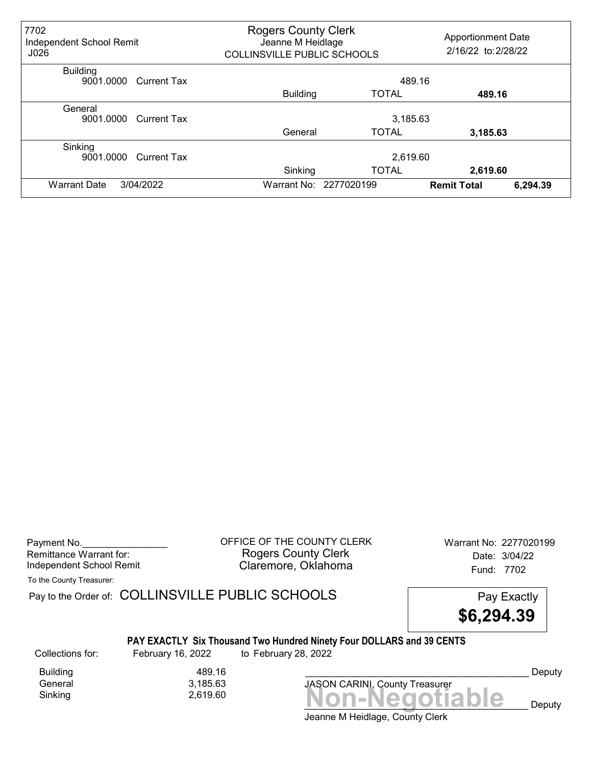| 7702<br>Independent School Remit<br>J026    | <b>Rogers County Clerk</b><br>Jeanne M Heidlage<br><b>COLLINSVILLE PUBLIC SCHOOLS</b> |                        | <b>Apportionment Date</b><br>2/16/22 to: 2/28/22 |  |
|---------------------------------------------|---------------------------------------------------------------------------------------|------------------------|--------------------------------------------------|--|
| <b>Building</b><br>9001.0000<br>Current Tax | 489.16                                                                                |                        |                                                  |  |
|                                             | <b>Building</b>                                                                       | <b>TOTAL</b>           | 489.16                                           |  |
| General<br>9001.0000<br>Current Tax         | 3,185.63                                                                              |                        |                                                  |  |
|                                             | General                                                                               | <b>TOTAL</b>           | 3,185.63                                         |  |
| Sinking<br>9001.0000<br><b>Current Tax</b>  |                                                                                       | 2,619.60               |                                                  |  |
|                                             | Sinking                                                                               | <b>TOTAL</b>           | 2,619.60                                         |  |
| 3/04/2022<br><b>Warrant Date</b>            |                                                                                       | Warrant No: 2277020199 | 6,294.39<br><b>Remit Total</b>                   |  |

Payment No. 2277020199<br>
OFFICE OF THE COUNTY CLERK Warrant No: 2277020199 Rogers County Clerk Date: 3/04/22 Independent School Remit Claremore, Oklahoma Fund: 7702

To the County Treasurer:

Pay to the Order of: COLLINSVILLE PUBLIC SCHOOLS Pay Exactly



## PAY EXACTLY Six Thousand Two Hundred Ninety Four DOLLARS and 39 CENTS

Collections for: February 16, 2022 to February 28, 2022

Building 489.16<br>General 3,185.63 General 3,185.63

Jeanne M Heidlage, County Clerk  $Sinking$   $2,619.60$   $Non-Negotiable$ 

JASON CARINI, County Treasurer

Deputy

Deputy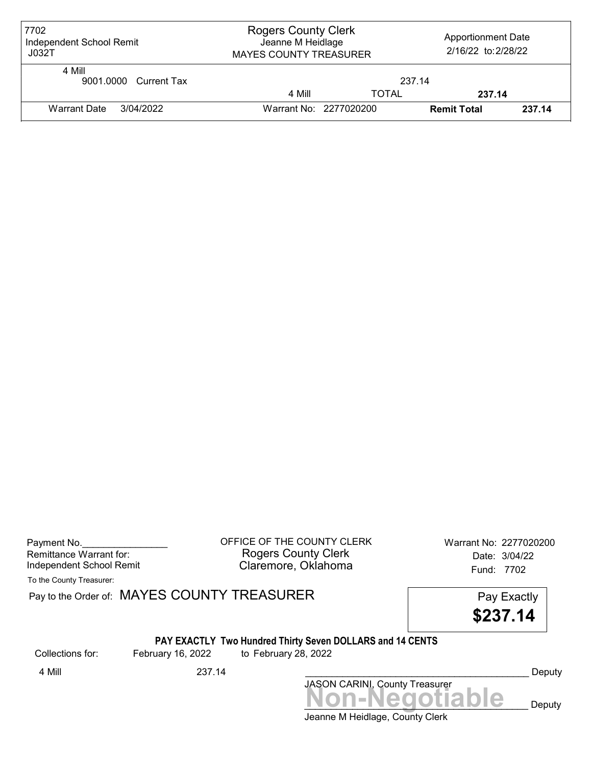| 7702<br>Independent School Remit<br>JO32T | <b>Rogers County Clerk</b><br>Jeanne M Heidlage<br><b>MAYES COUNTY TREASURER</b> |                        | <b>Apportionment Date</b><br>2/16/22 to: 2/28/22 |        |
|-------------------------------------------|----------------------------------------------------------------------------------|------------------------|--------------------------------------------------|--------|
| 4 Mill<br>9001.0000 Current Tax           |                                                                                  | 237.14                 |                                                  |        |
|                                           | 4 Mill                                                                           | <b>TOTAL</b>           | 237.14                                           |        |
| Warrant Date<br>3/04/2022                 |                                                                                  | Warrant No: 2277020200 | <b>Remit Total</b>                               | 237.14 |

| Payment No.              |  |
|--------------------------|--|
| Remittance Warrant for:  |  |
| Independent School Remit |  |

OFFICE OF THE COUNTY CLERK Warrant No: 2277020200 Rogers County Clerk Date: 3/04/22 Claremore, Oklahoma<br>
Fund: 7702

To the County Treasurer:

Pay to the Order of: MAYES COUNTY TREASURER Pay to the Order of: MAYES COUNTY TREASURER

\$237.14

#### PAY EXACTLY Two Hundred Thirty Seven DOLLARS and 14 CENTS

Collections for: February 16, 2022 to February 28, 2022

JASON CARINI, County Treasurer<br>
MON-Negotiable Deputy 4 Mill 237.14 Deputy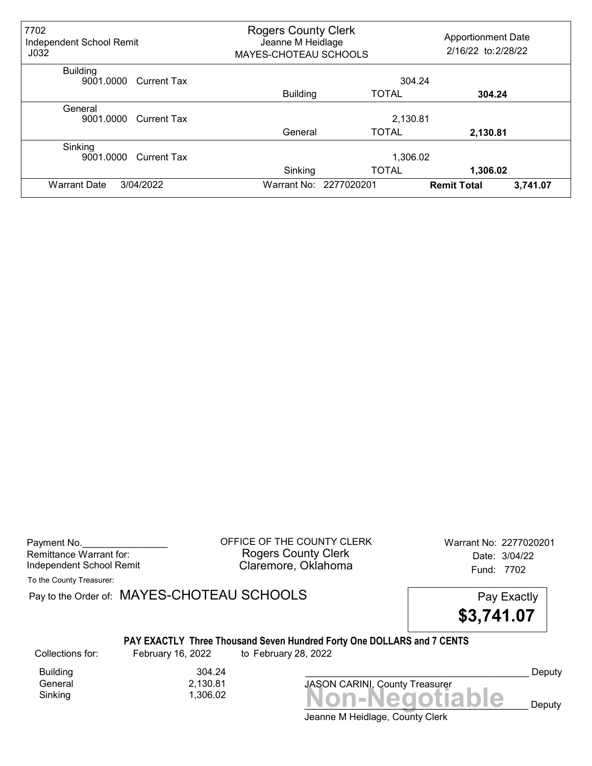| 7702<br>Independent School Remit<br>J <sub>032</sub> |             | <b>Rogers County Clerk</b><br>Jeanne M Heidlage<br>MAYES-CHOTEAU SCHOOLS |                        | <b>Apportionment Date</b><br>2/16/22 to: 2/28/22 |  |
|------------------------------------------------------|-------------|--------------------------------------------------------------------------|------------------------|--------------------------------------------------|--|
| <b>Building</b><br>9001.0000 Current Tax             |             | 304.24                                                                   |                        |                                                  |  |
|                                                      |             | <b>Building</b>                                                          | <b>TOTAL</b>           | 304.24                                           |  |
| General<br>9001.0000                                 | Current Tax | 2,130.81                                                                 |                        |                                                  |  |
|                                                      |             | General                                                                  | <b>TOTAL</b>           | 2,130.81                                         |  |
| Sinking<br>9001.0000                                 | Current Tax | 1,306.02                                                                 |                        |                                                  |  |
|                                                      |             | Sinking                                                                  | <b>TOTAL</b>           | 1,306.02                                         |  |
| 3/04/2022<br><b>Warrant Date</b>                     |             |                                                                          | Warrant No: 2277020201 | 3,741.07<br><b>Remit Total</b>                   |  |

Payment No. 2277020201 COFFICE OF THE COUNTY CLERK Warrant No: 2277020201 Rogers County Clerk Date: 3/04/22 Independent School Remit Claremore, Oklahoma Fund: 7702

To the County Treasurer:

Pay to the Order of: MAYES-CHOTEAU SCHOOLS Pay Exactly Pay Exactly

\$3,741.07

#### PAY EXACTLY Three Thousand Seven Hundred Forty One DOLLARS and 7 CENTS

Collections for: February 16, 2022 to February 28, 2022

Building 304.24<br>General 2,130.81 General 2,130.81

Sinking Non-Negotiable 1,306.02 JASON CARINI, County Treasurer

Deputy

Deputy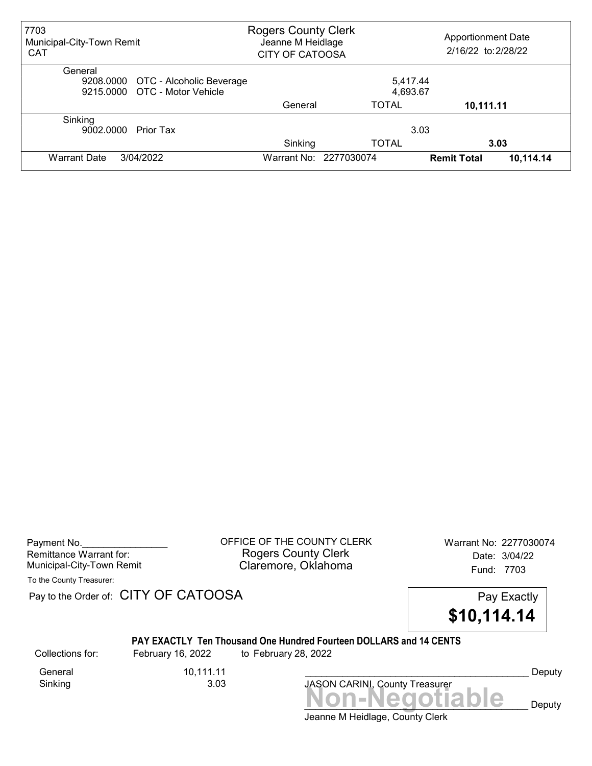| 7703<br>Municipal-City-Town Remit<br><b>CAT</b>                                | <b>Rogers County Clerk</b><br>Jeanne M Heidlage<br><b>CITY OF CATOOSA</b> |                      | <b>Apportionment Date</b><br>2/16/22 to: 2/28/22 |           |
|--------------------------------------------------------------------------------|---------------------------------------------------------------------------|----------------------|--------------------------------------------------|-----------|
| General<br>9208.0000 OTC - Alcoholic Beverage<br>9215,0000 OTC - Motor Vehicle |                                                                           | 5,417.44<br>4,693.67 |                                                  |           |
|                                                                                | General                                                                   | <b>TOTAL</b>         | 10,111.11                                        |           |
| Sinking<br>9002.0000<br>Prior Tax                                              | Sinking                                                                   | 3.03<br><b>TOTAL</b> |                                                  | 3.03      |
| 3/04/2022<br><b>Warrant Date</b>                                               | Warrant No: 2277030074                                                    |                      | <b>Remit Total</b>                               | 10,114.14 |

| Payment No.               |  |
|---------------------------|--|
| Remittance Warrant for:   |  |
| Municipal-City-Town Remit |  |

OFFICE OF THE COUNTY CLERK Warrant No: 2277030074 Rogers County Clerk Date: 3/04/22 Claremore, Oklahoma<br>Fund: 7703

To the County Treasurer:

Pay to the Order of: CITY OF CATOOSA Pay to the Order of: CITY OF CATOOSA



## PAY EXACTLY Ten Thousand One Hundred Fourteen DOLLARS and 14 CENTS

Collections for: February 16, 2022 to February 28, 2022

General 10,111.11<br>Sinking 3.03 Sinking

Jeanne M Heidlage, County Clerk JASON CARINI, County Treasurer<br>
MON-Negotiable Deputy

Deputy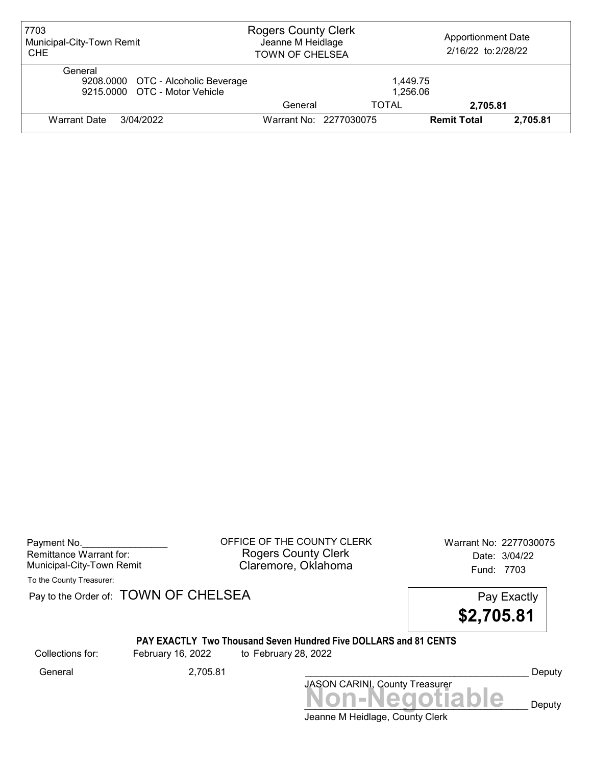| 7703<br>Municipal-City-Town Remit<br><b>CHE</b>                                | <b>Rogers County Clerk</b><br>Jeanne M Heidlage<br><b>TOWN OF CHELSEA</b> |                        | <b>Apportionment Date</b><br>2/16/22 to: 2/28/22 |          |
|--------------------------------------------------------------------------------|---------------------------------------------------------------------------|------------------------|--------------------------------------------------|----------|
| General<br>9208.0000 OTC - Alcoholic Beverage<br>9215,0000 OTC - Motor Vehicle |                                                                           | 1.449.75<br>1,256.06   |                                                  |          |
|                                                                                | General                                                                   | TOTAL                  | 2,705.81                                         |          |
| Warrant Date<br>3/04/2022                                                      |                                                                           | Warrant No: 2277030075 | <b>Remit Total</b>                               | 2.705.81 |

Payment No. 2277030075 CONSIDERT OF THE COUNTY CLERK Warrant No: 2277030075 Rogers County Clerk Date: 3/04/22 Municipal-City-Town Remit **Example 2018** Claremore, Oklahoma **Example 2018** Fund: 7703

To the County Treasurer:

Pay to the Order of: TOWN OF CHELSEA Pay to the Order of: TOWN OF CHELSEA

\$2,705.81

## PAY EXACTLY Two Thousand Seven Hundred Five DOLLARS and 81 CENTS

Collections for: February 16, 2022 to February 28, 2022

Non-Negotiable Deputy JASON CARINI, County Treasurer General 2,705.81 \_\_\_\_\_\_\_\_\_\_\_\_\_\_\_\_\_\_\_\_\_\_\_\_\_\_\_\_\_\_\_\_\_\_\_\_\_\_\_\_\_\_ Deputy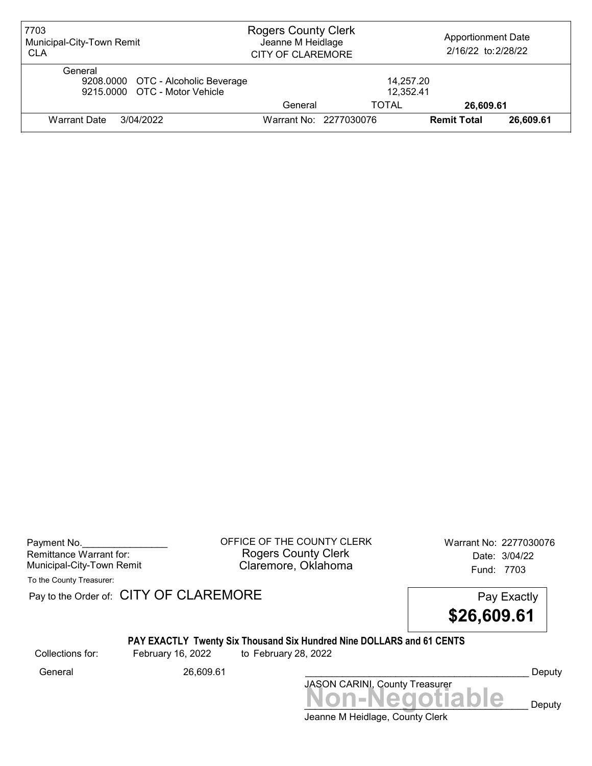| 7703<br>Municipal-City-Town Remit<br><b>CLA</b>                                | <b>Rogers County Clerk</b><br>Jeanne M Heidlage<br><b>CITY OF CLAREMORE</b> |                        | <b>Apportionment Date</b><br>2/16/22 to: 2/28/22 |           |
|--------------------------------------------------------------------------------|-----------------------------------------------------------------------------|------------------------|--------------------------------------------------|-----------|
| General<br>9208.0000 OTC - Alcoholic Beverage<br>9215,0000 OTC - Motor Vehicle |                                                                             | 14,257.20<br>12,352.41 |                                                  |           |
|                                                                                | General                                                                     | TOTAL                  | 26,609.61                                        |           |
| <b>Warrant Date</b><br>3/04/2022                                               |                                                                             | Warrant No: 2277030076 | <b>Remit Total</b>                               | 26,609,61 |

Payment No. 2277030076 CONDUCT OF THE COUNTY CLERK Warrant No: 2277030076 Rogers County Clerk Date: 3/04/22 Municipal-City-Town Remit **Example 2018** Claremore, Oklahoma **Example 2018** Fund: 7703

To the County Treasurer:

Pay to the Order of: CITY OF CLAREMORE Pay to the Order of: CITY OF CLAREMORE

\$26,609.61

## PAY EXACTLY Twenty Six Thousand Six Hundred Nine DOLLARS and 61 CENTS

Collections for: February 16, 2022 to February 28, 2022

Jeanne M Heidlage, County Clerk Non-Negotiable Deputy JASON CARINI, County Treasurer General 26,609.61 \_\_\_\_\_\_\_\_\_\_\_\_\_\_\_\_\_\_\_\_\_\_\_\_\_\_\_\_\_\_\_\_\_\_\_\_\_\_\_\_\_\_ Deputy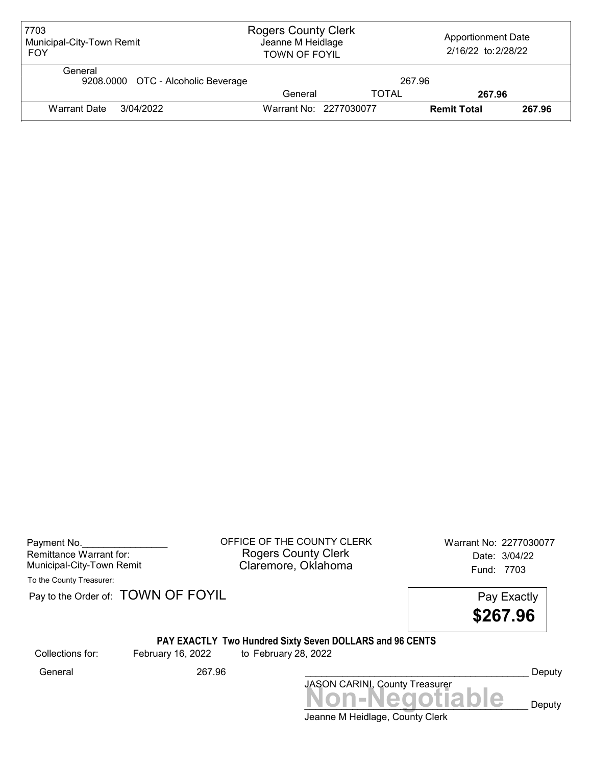| 7703<br>Municipal-City-Town Remit<br><b>FOY</b> | <b>Rogers County Clerk</b><br>Jeanne M Heidlage<br><b>TOWN OF FOYIL</b> |              | <b>Apportionment Date</b><br>2/16/22 to: 2/28/22 |        |
|-------------------------------------------------|-------------------------------------------------------------------------|--------------|--------------------------------------------------|--------|
| General<br>9208.0000 OTC - Alcoholic Beverage   |                                                                         | 267.96       |                                                  |        |
|                                                 | General                                                                 | <b>TOTAL</b> | 267.96                                           |        |
| Warrant Date<br>3/04/2022                       | Warrant No: 2277030077                                                  |              | <b>Remit Total</b>                               | 267.96 |

| Payment No.               |  |
|---------------------------|--|
| Remittance Warrant for:   |  |
| Municipal-City-Town Remit |  |

OFFICE OF THE COUNTY CLERK Warrant No: 2277030077 Rogers County Clerk Date: 3/04/22 Claremore, Oklahoma<br>Fund: 7703

To the County Treasurer:

Pay to the Order of: TOWN OF FOYIL Pay Exactly

\$267.96

## PAY EXACTLY Two Hundred Sixty Seven DOLLARS and 96 CENTS

Collections for: February 16, 2022 to February 28, 2022

JASON CARINI, County Treasurer<br>
MON-Negotiable Deputy General 267.96 \_\_\_\_\_\_\_\_\_\_\_\_\_\_\_\_\_\_\_\_\_\_\_\_\_\_\_\_\_\_\_\_\_\_\_\_\_\_\_\_\_\_ Deputy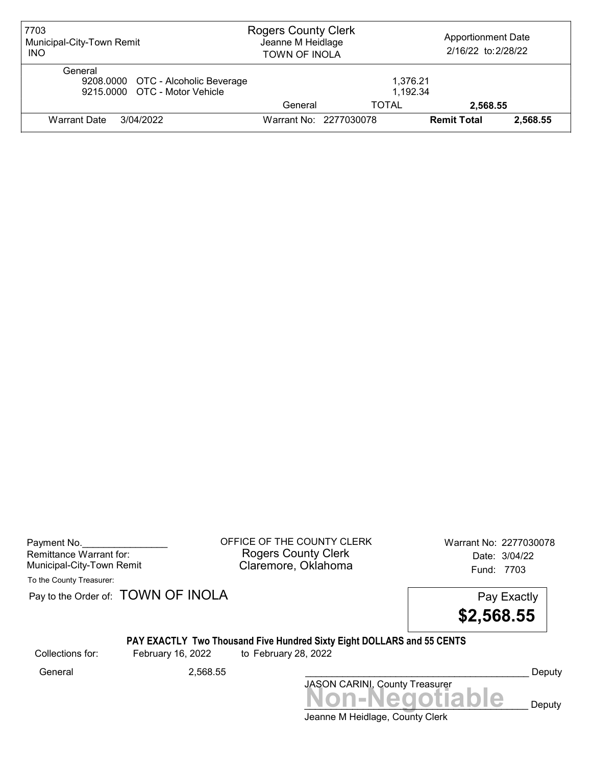| 7703<br>Municipal-City-Town Remit<br><b>INO</b>                                | <b>Rogers County Clerk</b><br>Jeanne M Heidlage<br><b>TOWN OF INOLA</b> |                        | <b>Apportionment Date</b><br>2/16/22 to: 2/28/22 |          |
|--------------------------------------------------------------------------------|-------------------------------------------------------------------------|------------------------|--------------------------------------------------|----------|
| General<br>9208.0000 OTC - Alcoholic Beverage<br>9215,0000 OTC - Motor Vehicle |                                                                         | 1.376.21<br>1.192.34   |                                                  |          |
|                                                                                | General                                                                 | TOTAL                  | 2,568.55                                         |          |
| <b>Warrant Date</b><br>3/04/2022                                               |                                                                         | Warrant No: 2277030078 | <b>Remit Total</b>                               | 2.568.55 |

| Payment No.               |  |
|---------------------------|--|
| Remittance Warrant for:   |  |
| Municipal-City-Town Remit |  |

OFFICE OF THE COUNTY CLERK Warrant No: 2277030078 Rogers County Clerk Date: 3/04/22 Claremore, Oklahoma<br>Fund: 7703

To the County Treasurer:

Pay to the Order of: TOWN OF INOLA Pay Exactly



# PAY EXACTLY Two Thousand Five Hundred Sixty Eight DOLLARS and 55 CENTS

Collections for: February 16, 2022 to February 28, 2022

Jeanne M Heidlage, County Clerk JASON CARINI, County Treasurer<br>
MON-Negotiable Deputy General 2,568.55 \_\_\_\_\_\_\_\_\_\_\_\_\_\_\_\_\_\_\_\_\_\_\_\_\_\_\_\_\_\_\_\_\_\_\_\_\_\_\_\_\_\_ Deputy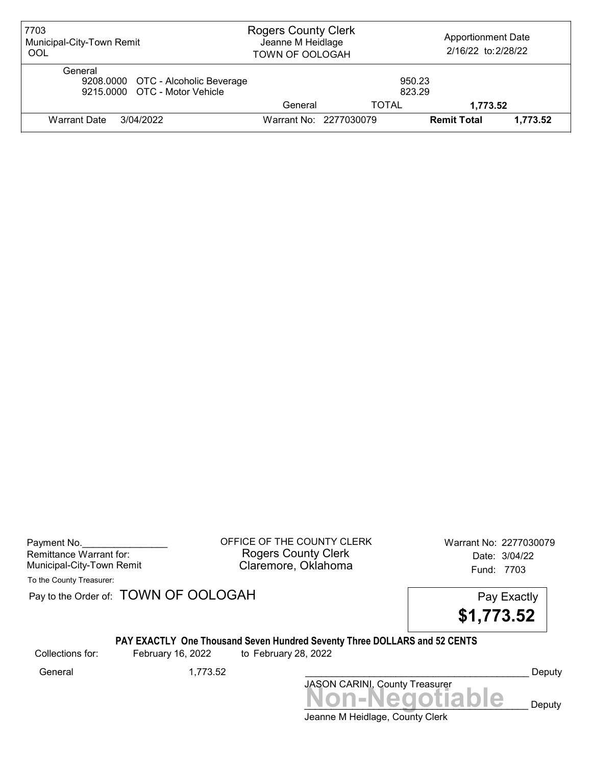| 7703<br>Municipal-City-Town Remit<br>OOL                                       | <b>Rogers County Clerk</b><br>Jeanne M Heidlage<br><b>TOWN OF OOLOGAH</b> |                        | <b>Apportionment Date</b><br>2/16/22 to: 2/28/22 |          |
|--------------------------------------------------------------------------------|---------------------------------------------------------------------------|------------------------|--------------------------------------------------|----------|
| General<br>9208.0000 OTC - Alcoholic Beverage<br>9215,0000 OTC - Motor Vehicle |                                                                           | 950.23<br>823.29       |                                                  |          |
|                                                                                | General                                                                   | TOTAL                  | 1,773.52                                         |          |
| 3/04/2022<br><b>Warrant Date</b>                                               |                                                                           | Warrant No: 2277030079 | <b>Remit Total</b>                               | 1,773.52 |

| Payment No.               |  |
|---------------------------|--|
| Remittance Warrant for:   |  |
| Municipal-City-Town Remit |  |

OFFICE OF THE COUNTY CLERK Warrant No: 2277030079 Rogers County Clerk Date: 3/04/22 Claremore, Oklahoma<br>Fund: 7703

To the County Treasurer:

Pay to the Order of: TOWN OF OOLOGAH Pay Exactly



#### PAY EXACTLY One Thousand Seven Hundred Seventy Three DOLLARS and 52 CENTS

Collections for: February 16, 2022 to February 28, 2022

JASON CARINI, County Treasurer<br>
MON-Negotiable Deputy General 1,773.52 \_\_\_\_\_\_\_\_\_\_\_\_\_\_\_\_\_\_\_\_\_\_\_\_\_\_\_\_\_\_\_\_\_\_\_\_\_\_\_\_\_\_ Deputy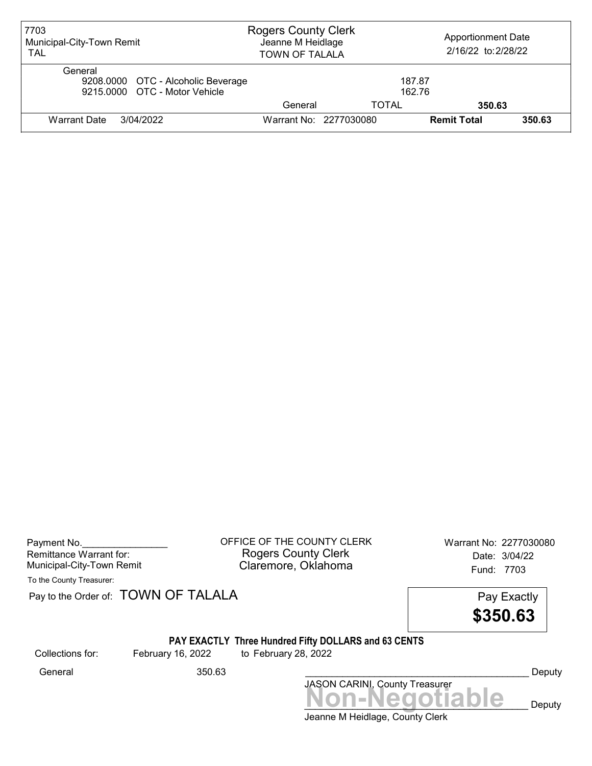| 7703<br>Municipal-City-Town Remit<br><b>TAL</b>                                | <b>Rogers County Clerk</b><br>Jeanne M Heidlage<br><b>TOWN OF TALALA</b> |                        | <b>Apportionment Date</b><br>2/16/22 to: 2/28/22 |        |
|--------------------------------------------------------------------------------|--------------------------------------------------------------------------|------------------------|--------------------------------------------------|--------|
| General<br>9208.0000 OTC - Alcoholic Beverage<br>9215.0000 OTC - Motor Vehicle |                                                                          | 187.87<br>162.76       |                                                  |        |
|                                                                                | General                                                                  | TOTAL                  | 350.63                                           |        |
| 3/04/2022<br>Warrant Date                                                      |                                                                          | Warrant No: 2277030080 | <b>Remit Total</b>                               | 350.63 |

| Payment No.               |  |
|---------------------------|--|
| Remittance Warrant for:   |  |
| Municipal-City-Town Remit |  |

OFFICE OF THE COUNTY CLERK Warrant No: 2277030080 Rogers County Clerk Date: 3/04/22 Claremore, Oklahoma<br>Fund: 7703

To the County Treasurer:

Pay to the Order of: **TOWN OF TALALA** Pay to the Order of: **TOWN OF TALALA** 

\$350.63

#### PAY EXACTLY Three Hundred Fifty DOLLARS and 63 CENTS

Collections for: February 16, 2022 to February 28, 2022

General 350.63 \_\_\_\_\_\_\_\_\_\_\_\_\_\_\_\_\_\_\_\_\_\_\_\_\_\_\_\_\_\_\_\_\_\_\_\_\_\_\_\_\_\_ Deputy

Jeanne M Heidlage, County Clerk JASON CARINI, County Treasurer<br>
MON-Negotiable Deputy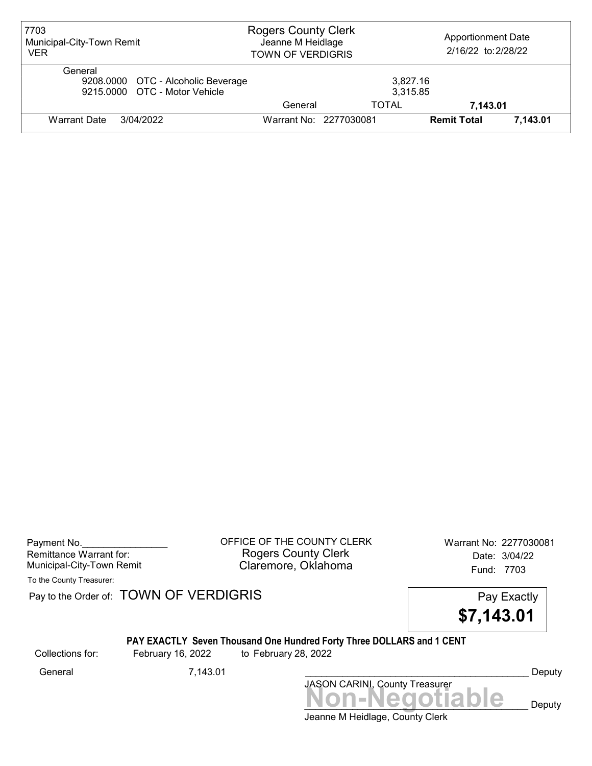| 7703<br>Municipal-City-Town Remit<br><b>VER</b>                                | <b>Rogers County Clerk</b><br>Jeanne M Heidlage<br><b>TOWN OF VERDIGRIS</b> |       | <b>Apportionment Date</b><br>2/16/22 to: 2/28/22 |          |
|--------------------------------------------------------------------------------|-----------------------------------------------------------------------------|-------|--------------------------------------------------|----------|
| General<br>9208.0000 OTC - Alcoholic Beverage<br>9215,0000 OTC - Motor Vehicle |                                                                             |       | 3,827.16<br>3,315.85                             |          |
|                                                                                | General                                                                     | TOTAL | 7,143.01                                         |          |
| 3/04/2022<br>Warrant Date                                                      | Warrant No: 2277030081                                                      |       | <b>Remit Total</b>                               | 7.143.01 |

| Payment No.               |  |
|---------------------------|--|
| Remittance Warrant for:   |  |
| Municipal-City-Town Remit |  |

OFFICE OF THE COUNTY CLERK Warrant No: 2277030081 Rogers County Clerk Date: 3/04/22 Claremore, Oklahoma<br>Fund: 7703

To the County Treasurer:

Pay to the Order of: TOWN OF VERDIGRIS Pay to the Order of: TOWN OF VERDIGRIS

\$7,143.01

## PAY EXACTLY Seven Thousand One Hundred Forty Three DOLLARS and 1 CENT

Collections for: February 16, 2022 to February 28, 2022

JASON CARINI, County Treasurer<br>
MON-Negotiable Deputy General 7,143.01 \_\_\_\_\_\_\_\_\_\_\_\_\_\_\_\_\_\_\_\_\_\_\_\_\_\_\_\_\_\_\_\_\_\_\_\_\_\_\_\_\_\_ Deputy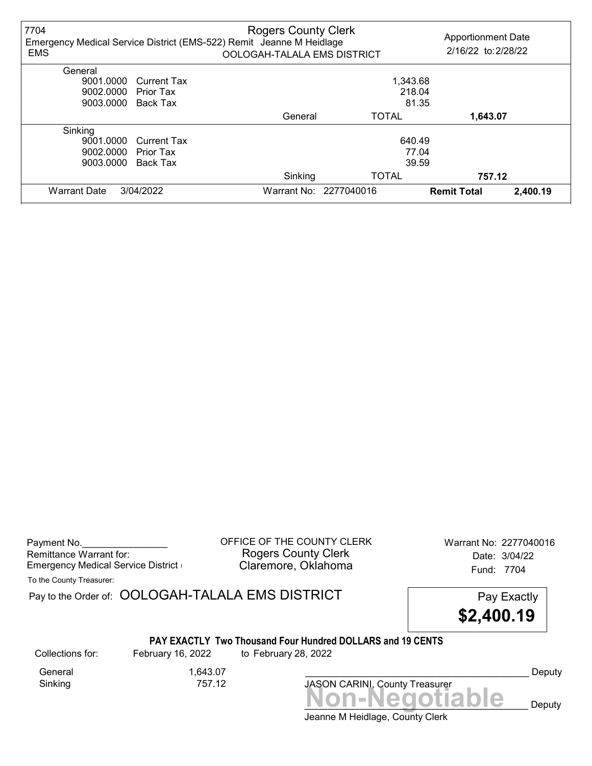| 7704<br><b>EMS</b>  |                    | <b>Rogers County Clerk</b><br>Emergency Medical Service District (EMS-522) Remit Jeanne M Heidlage<br>OOLOGAH-TALALA EMS DISTRICT |                        | <b>Apportionment Date</b><br>2/16/22 to: 2/28/22 |          |
|---------------------|--------------------|-----------------------------------------------------------------------------------------------------------------------------------|------------------------|--------------------------------------------------|----------|
| General             |                    |                                                                                                                                   |                        |                                                  |          |
| 9001.0000           | <b>Current Tax</b> |                                                                                                                                   | 1,343.68               |                                                  |          |
| 9002.0000           | Prior Tax          |                                                                                                                                   | 218.04                 |                                                  |          |
| 9003.0000           | Back Tax           |                                                                                                                                   | 81.35                  |                                                  |          |
|                     |                    | General                                                                                                                           | <b>TOTAL</b>           | 1,643.07                                         |          |
| Sinking             |                    |                                                                                                                                   |                        |                                                  |          |
| 9001.0000           | <b>Current Tax</b> |                                                                                                                                   | 640.49                 |                                                  |          |
| 9002.0000           | Prior Tax          |                                                                                                                                   | 77.04                  |                                                  |          |
| 9003.0000           | Back Tax           |                                                                                                                                   | 39.59                  |                                                  |          |
|                     |                    | Sinking                                                                                                                           | <b>TOTAL</b>           | 757.12                                           |          |
| <b>Warrant Date</b> | 3/04/2022          |                                                                                                                                   | Warrant No: 2277040016 | <b>Remit Total</b>                               | 2,400.19 |

| Payment No.                        |  |
|------------------------------------|--|
| Remittance Warrant for:            |  |
| Emergency Medical Service District |  |

OFFICE OF THE COUNTY CLERK Warrant No: 2277040016 Rogers County Clerk Date: 3/04/22 Claremore, Oklahoma **Emergency Claremore, Oklahoma** 

To the County Treasurer:

Pay to the Order of: OOLOGAH-TALALA EMS DISTRICT Pay Exactly



#### PAY EXACTLY Two Thousand Four Hundred DOLLARS and 19 CENTS

General 1,643.07<br>Sinking 757.12

757.12

Collections for: February 16, 2022 to February 28, 2022

Deputy

Jeanne M Heidlage, County Clerk JASON CARINI, County Treasurer<br>
MON-Negotiable Deputy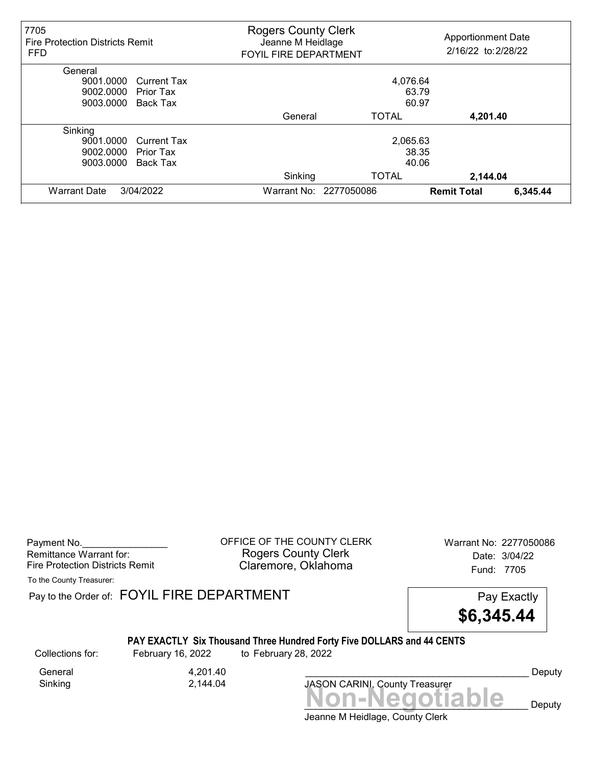| 7705<br><b>Fire Protection Districts Remit</b><br><b>FFD</b> | <b>Rogers County Clerk</b><br>Jeanne M Heidlage<br><b>FOYIL FIRE DEPARTMENT</b> |              | <b>Apportionment Date</b><br>2/16/22 to: 2/28/22 |          |
|--------------------------------------------------------------|---------------------------------------------------------------------------------|--------------|--------------------------------------------------|----------|
| General                                                      |                                                                                 |              |                                                  |          |
| 9001.0000<br><b>Current Tax</b>                              |                                                                                 | 4,076.64     |                                                  |          |
| 9002.0000<br>Prior Tax                                       |                                                                                 | 63.79        |                                                  |          |
| 9003.0000<br>Back Tax                                        |                                                                                 | 60.97        |                                                  |          |
|                                                              | General                                                                         | <b>TOTAL</b> | 4,201.40                                         |          |
| Sinking                                                      |                                                                                 |              |                                                  |          |
| 9001.0000<br><b>Current Tax</b>                              |                                                                                 | 2,065.63     |                                                  |          |
| 9002.0000<br>Prior Tax                                       |                                                                                 | 38.35        |                                                  |          |
| 9003.0000<br>Back Tax                                        |                                                                                 | 40.06        |                                                  |          |
|                                                              | Sinking                                                                         | <b>TOTAL</b> | 2,144.04                                         |          |
| <b>Warrant Date</b><br>3/04/2022                             | Warrant No: 2277050086                                                          |              | <b>Remit Total</b>                               | 6,345.44 |

Payment No. 2277050086 CHERCOUNTY CLERK Warrant No: 2277050086 Rogers County Clerk Date: 3/04/22 Fire Protection Districts Remit **Claremore, Oklahoma** Fund: 7705

To the County Treasurer:

Pay to the Order of: FOYIL FIRE DEPARTMENT FREE PAY EXACTLY



## PAY EXACTLY Six Thousand Three Hundred Forty Five DOLLARS and 44 CENTS

Collections for: February 16, 2022 to February 28, 2022

General 4,201.40<br>Sinking 2,144.04

Sinking 2,144.04

Non-Negotiable Deputy JASON CARINI, County Treasurer

Deputy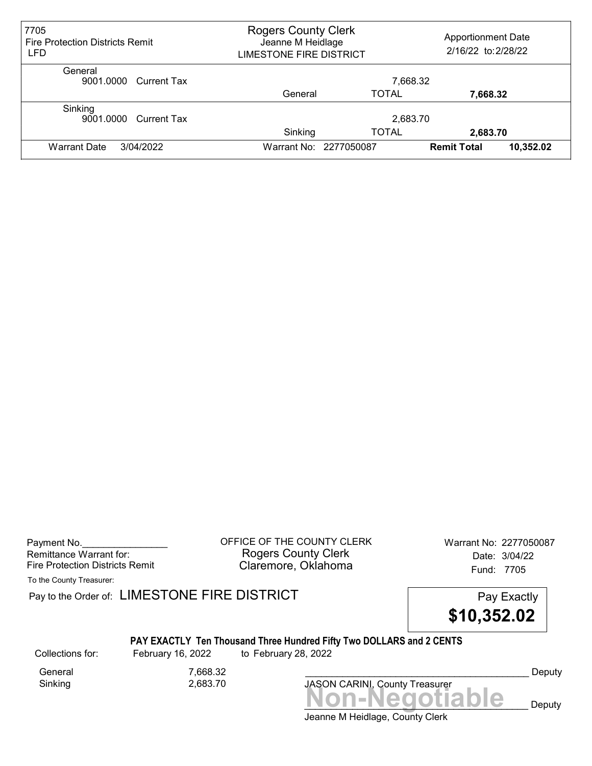| 7705<br><b>Fire Protection Districts Remit</b><br><b>LFD</b> | <b>Rogers County Clerk</b><br>Jeanne M Heidlage<br>LIMESTONE FIRE DISTRICT |                          | <b>Apportionment Date</b><br>2/16/22 to: 2/28/22 |           |
|--------------------------------------------------------------|----------------------------------------------------------------------------|--------------------------|--------------------------------------------------|-----------|
| General<br>9001.0000 Current Tax                             |                                                                            | 7,668.32                 |                                                  |           |
|                                                              | General                                                                    | <b>TOTAL</b>             | 7,668.32                                         |           |
| Sinking<br>9001.0000 Current Tax                             | Sinking                                                                    | 2,683.70<br><b>TOTAL</b> | 2,683.70                                         |           |
| <b>Warrant Date</b><br>3/04/2022                             | Warrant No: 2277050087                                                     |                          | <b>Remit Total</b>                               | 10,352.02 |

Payment No. 2277050087 Rogers County Clerk Date: 3/04/22 Fire Protection Districts Remit **Claremore, Oklahoma** Fund: 7705

To the County Treasurer:

Pay to the Order of: LIMESTONE FIRE DISTRICT Pay Exactly Pay Exactly

\$10,352.02

## PAY EXACTLY Ten Thousand Three Hundred Fifty Two DOLLARS and 2 CENTS

Collections for: February 16, 2022 to February 28, 2022

Sinking 2,683.70

General 7,668.32

JASON CARINI, County Treasurer

Deputy

Jeanne M Heidlage, County Clerk Non-Negotiable Deputy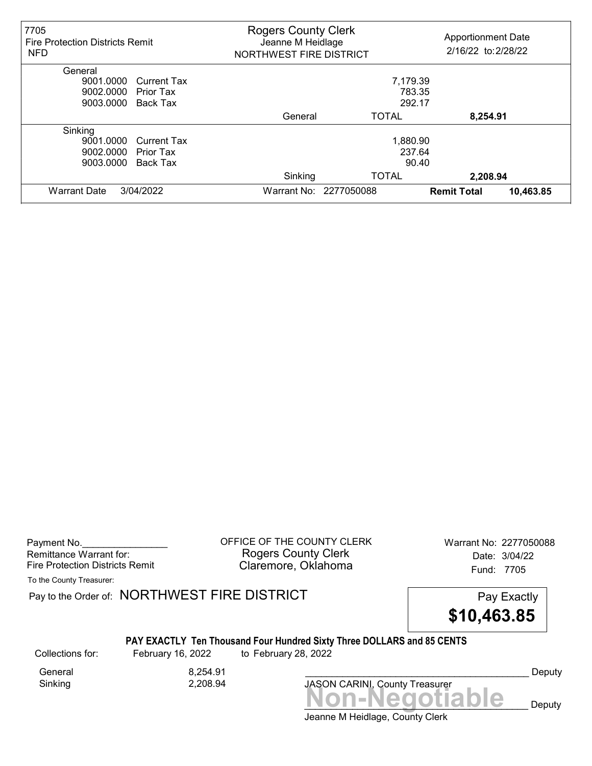| 7705<br><b>Fire Protection Districts Remit</b><br><b>NFD</b> | <b>Rogers County Clerk</b><br>Jeanne M Heidlage<br>NORTHWEST FIRE DISTRICT |                        | <b>Apportionment Date</b><br>2/16/22 to: 2/28/22 |
|--------------------------------------------------------------|----------------------------------------------------------------------------|------------------------|--------------------------------------------------|
| General                                                      |                                                                            |                        |                                                  |
| 9001.0000<br><b>Current Tax</b>                              |                                                                            | 7,179.39               |                                                  |
| 9002.0000<br>Prior Tax                                       |                                                                            | 783.35                 |                                                  |
| 9003.0000<br>Back Tax                                        |                                                                            | 292.17                 |                                                  |
|                                                              | General                                                                    | <b>TOTAL</b>           | 8,254.91                                         |
| Sinking                                                      |                                                                            |                        |                                                  |
| 9001.0000<br><b>Current Tax</b>                              |                                                                            | 1,880.90               |                                                  |
| 9002.0000<br>Prior Tax                                       |                                                                            | 237.64                 |                                                  |
| 9003.0000<br><b>Back Tax</b>                                 |                                                                            | 90.40                  |                                                  |
|                                                              | Sinking                                                                    | <b>TOTAL</b>           | 2,208.94                                         |
| <b>Warrant Date</b><br>3/04/2022                             |                                                                            | Warrant No: 2277050088 | 10,463.85<br><b>Remit Total</b>                  |

Payment No. 2277050088 COFFICE OF THE COUNTY CLERK Warrant No: 2277050088 Rogers County Clerk Date: 3/04/22 Fire Protection Districts Remit **Claremore, Oklahoma** Fund: 7705

To the County Treasurer:

Pay to the Order of: NORTHWEST FIRE DISTRICT FIRE Pay Exactly

\$10,463.85

## PAY EXACTLY Ten Thousand Four Hundred Sixty Three DOLLARS and 85 CENTS

Sinking 2,208.94

General 8.254.91

Collections for: February 16, 2022 to February 28, 2022

JASON CARINI, County Treasurer

Deputy

Jeanne M Heidlage, County Clerk Non-Negotiable Deputy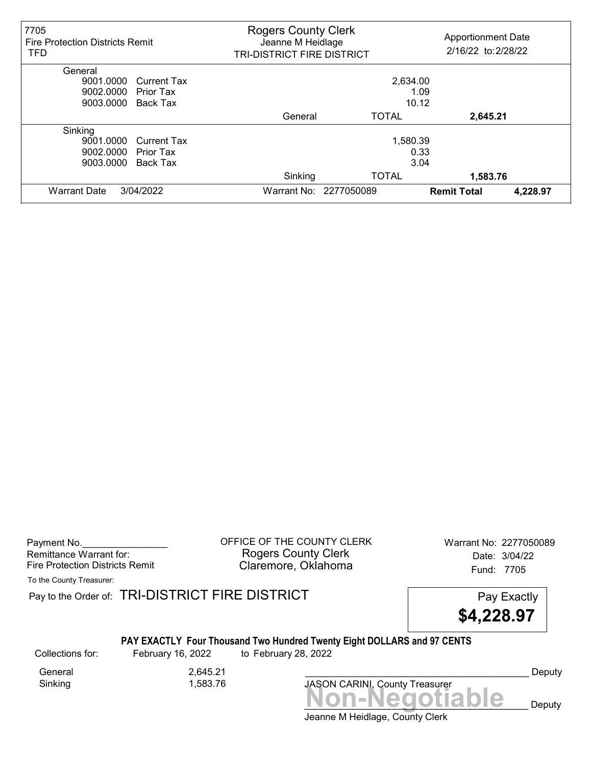| 7705<br><b>Fire Protection Districts Remit</b><br><b>TFD</b> | <b>Rogers County Clerk</b><br>Jeanne M Heidlage<br>TRI-DISTRICT FIRE DISTRICT |                        | <b>Apportionment Date</b><br>2/16/22 to: 2/28/22 |
|--------------------------------------------------------------|-------------------------------------------------------------------------------|------------------------|--------------------------------------------------|
| General                                                      |                                                                               |                        |                                                  |
| 9001.0000<br><b>Current Tax</b>                              |                                                                               | 2,634.00               |                                                  |
| 9002.0000<br>Prior Tax                                       |                                                                               |                        | 1.09                                             |
| 9003.0000<br>Back Tax                                        |                                                                               | 10.12                  |                                                  |
|                                                              | General                                                                       | <b>TOTAL</b>           | 2,645.21                                         |
| Sinking                                                      |                                                                               |                        |                                                  |
| 9001.0000<br><b>Current Tax</b>                              |                                                                               | 1,580.39               |                                                  |
| 9002.0000<br>Prior Tax                                       |                                                                               |                        | 0.33                                             |
| 9003.0000<br><b>Back Tax</b>                                 |                                                                               |                        | 3.04                                             |
|                                                              | Sinking                                                                       | <b>TOTAL</b>           | 1,583.76                                         |
| <b>Warrant Date</b><br>3/04/2022                             |                                                                               | Warrant No: 2277050089 | 4,228.97<br><b>Remit Total</b>                   |

Payment No. 2277050089 COFFICE OF THE COUNTY CLERK Warrant No: 2277050089 Rogers County Clerk Date: 3/04/22 Fire Protection Districts Remit **Claremore, Oklahoma** Fund: 7705

To the County Treasurer:

Pay to the Order of: TRI-DISTRICT FIRE DISTRICT **Pay Exactly** Pay Exactly

\$4,228.97

## PAY EXACTLY Four Thousand Two Hundred Twenty Eight DOLLARS and 97 CENTS

Collections for: February 16, 2022 to February 28, 2022

Sinking 1,583.76

General 2,645.21



Deputy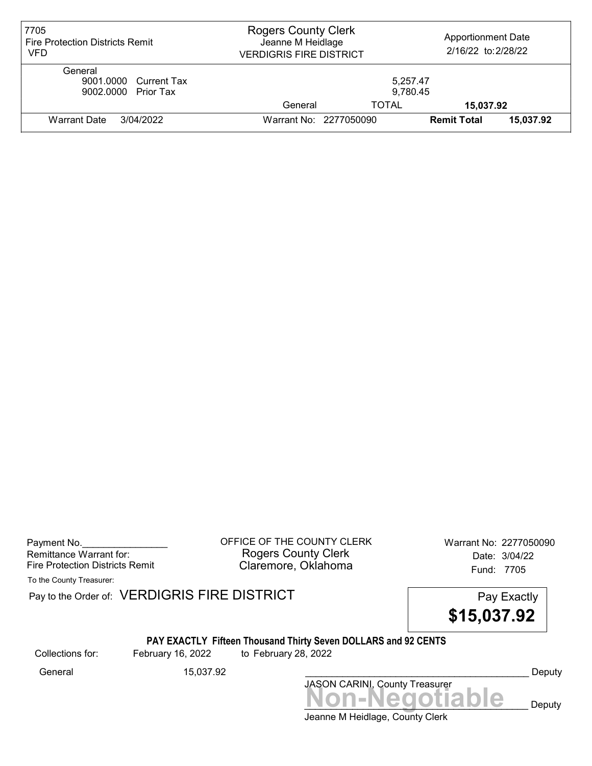| 7705<br><b>Fire Protection Districts Remit</b><br>VFD   | <b>Rogers County Clerk</b><br>Jeanne M Heidlage<br><b>VERDIGRIS FIRE DISTRICT</b> |                        | <b>Apportionment Date</b><br>2/16/22 to: 2/28/22 |           |
|---------------------------------------------------------|-----------------------------------------------------------------------------------|------------------------|--------------------------------------------------|-----------|
| General<br>9001.0000 Current Tax<br>9002.0000 Prior Tax |                                                                                   | 5,257.47<br>9,780.45   |                                                  |           |
|                                                         | General                                                                           | <b>TOTAL</b>           | 15,037.92                                        |           |
| 3/04/2022<br>Warrant Date                               |                                                                                   | Warrant No: 2277050090 | <b>Remit Total</b>                               | 15,037.92 |

Payment No. 2277050090 COFFICE OF THE COUNTY CLERK Warrant No: 2277050090 Rogers County Clerk Date: 3/04/22 Fire Protection Districts Remit **Claremore, Oklahoma** Fund: 7705

To the County Treasurer:

Pay to the Order of: VERDIGRIS FIRE DISTRICT Pay to the Order of: VERDIGRIS FIRE DISTRICT

\$15,037.92

# PAY EXACTLY Fifteen Thousand Thirty Seven DOLLARS and 92 CENTS

Collections for: February 16, 2022 to February 28, 2022

Jeanne M Heidlage, County Clerk Non-Negotiable Deputy JASON CARINI, County Treasurer General 15,037.92 \_\_\_\_\_\_\_\_\_\_\_\_\_\_\_\_\_\_\_\_\_\_\_\_\_\_\_\_\_\_\_\_\_\_\_\_\_\_\_\_\_\_ Deputy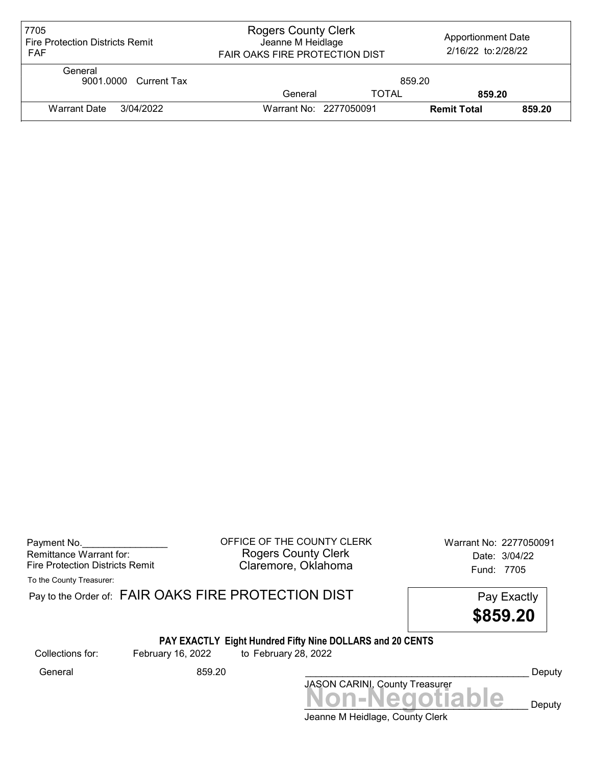| 7705<br><b>Fire Protection Districts Remit</b><br><b>FAF</b> | <b>Rogers County Clerk</b><br>Jeanne M Heidlage<br><b>FAIR OAKS FIRE PROTECTION DIST</b> |              | <b>Apportionment Date</b><br>2/16/22 to: 2/28/22 |        |
|--------------------------------------------------------------|------------------------------------------------------------------------------------------|--------------|--------------------------------------------------|--------|
| General<br>9001.0000 Current Tax                             |                                                                                          | 859.20       |                                                  |        |
|                                                              | General                                                                                  | <b>TOTAL</b> | 859.20                                           |        |
| <b>Warrant Date</b><br>3/04/2022                             | Warrant No: 2277050091                                                                   |              | <b>Remit Total</b>                               | 859.20 |

| Payment No.                     |
|---------------------------------|
| Remittance Warrant for:         |
| Fire Protection Districts Remit |

Payment No.\_\_\_\_\_\_\_\_\_\_\_\_\_\_\_\_ OFFICE OF THE COUNTY CLERK Warrant No: 2277050091 Rogers County Clerk **Date:** 3/04/22 Fire Protection Districts Remit **Exercise Claremore, Oklahoma** Fund: 7705

To the County Treasurer:

|                  |                   | Pay to the Order of: FAIR OAKS FIRE PROTECTION DIST<br>Pay Exactly<br>\$859.20    |        |
|------------------|-------------------|-----------------------------------------------------------------------------------|--------|
| Collections for: | February 16, 2022 | PAY EXACTLY Eight Hundred Fifty Nine DOLLARS and 20 CENTS<br>to February 28, 2022 |        |
| General          | 859.20            | <b>JASON CARINL County Treasurer</b>                                              | Deputy |
|                  |                   | Jon-Negotiable                                                                    | Deputy |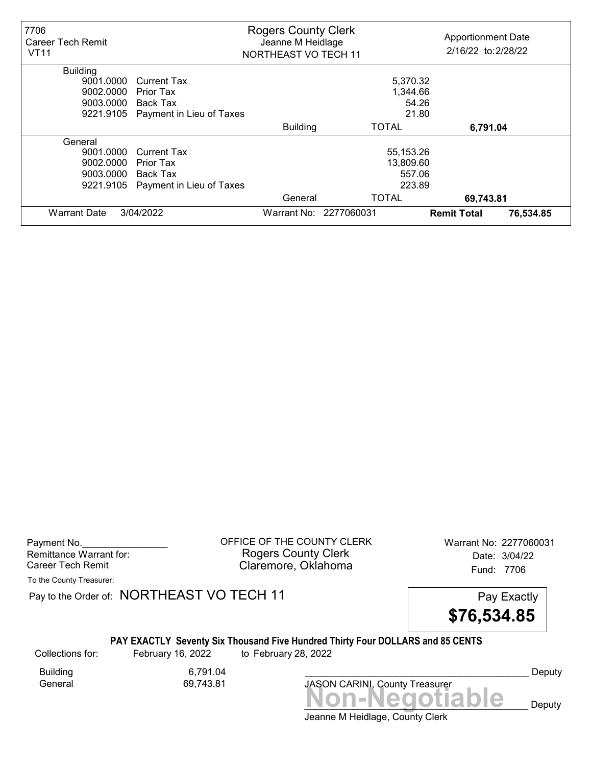| 7706<br>Career Tech Remit<br><b>VT11</b> |                          | <b>Rogers County Clerk</b><br>Jeanne M Heidlage<br>NORTHEAST VO TECH 11 |              | <b>Apportionment Date</b><br>2/16/22 to: 2/28/22 |           |
|------------------------------------------|--------------------------|-------------------------------------------------------------------------|--------------|--------------------------------------------------|-----------|
| <b>Building</b>                          |                          |                                                                         |              |                                                  |           |
| 9001.0000                                | Current Tax              |                                                                         | 5,370.32     |                                                  |           |
| 9002.0000                                | Prior Tax                |                                                                         | 1,344.66     |                                                  |           |
| 9003.0000                                | Back Tax                 |                                                                         | 54.26        |                                                  |           |
| 9221.9105                                | Payment in Lieu of Taxes |                                                                         | 21.80        |                                                  |           |
|                                          |                          | <b>Building</b>                                                         | TOTAL        | 6,791.04                                         |           |
| General                                  |                          |                                                                         |              |                                                  |           |
| 9001.0000                                | Current Tax              |                                                                         | 55,153.26    |                                                  |           |
| 9002.0000                                | Prior Tax                |                                                                         | 13,809.60    |                                                  |           |
| 9003.0000                                | Back Tax                 |                                                                         | 557.06       |                                                  |           |
| 9221.9105                                | Payment in Lieu of Taxes |                                                                         | 223.89       |                                                  |           |
|                                          |                          | General                                                                 | <b>TOTAL</b> | 69,743.81                                        |           |
| <b>Warrant Date</b>                      | 3/04/2022                | Warrant No: 2277060031                                                  |              | <b>Remit Total</b>                               | 76,534.85 |

Payment No. 2277060031 COFFICE OF THE COUNTY CLERK Warrant No: 2277060031 Rogers County Clerk Date: 3/04/22 Career Tech Remit **Claremore, Oklahoma Career Tech Remit** 7706

To the County Treasurer:

Pay to the Order of: NORTHEAST VO TECH 11 Pay Exactly



#### PAY EXACTLY Seventy Six Thousand Five Hundred Thirty Four DOLLARS and 85 CENTS

Collections for: February 16, 2022 to February 28, 2022

Building 6,791.04<br>General 69,743.81 69,743.81

Non-Negotiable Deputy JASON CARINI, County Treasurer

Deputy